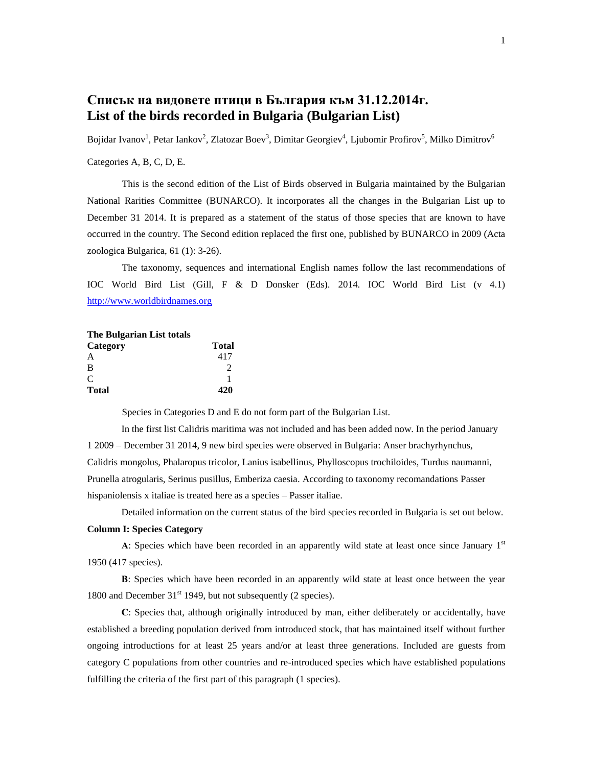# **Списък на видовете птици в България към 31.12.2014г. List of the birds recorded in Bulgaria (Bulgarian List)**

Bojidar Ivanov<sup>1</sup>, Petar Iankov<sup>2</sup>, Zlatozar Boev<sup>3</sup>, Dimitar Georgiev<sup>4</sup>, Ljubomir Profirov<sup>5</sup>, Milko Dimitrov<sup>6</sup>

## Categories A, B, C, D, E.

This is the second edition of the List of Birds observed in Bulgaria maintained by the Bulgarian National Rarities Committee (BUNARCO). It incorporates all the changes in the Bulgarian List up to December 31 2014. It is prepared as a statement of the status of those species that are known to have occurred in the country. The Second edition replaced the first one, published by BUNARCO in 2009 (Acta zoologica Bulgarica, 61 (1): 3-26).

The taxonomy, sequences and international English names follow the last recommendations of IOC World Bird List (Gill, F & D Donsker (Eds). 2014. IOC World Bird List (v 4.1) [http://www.worldbirdnames.org](http://www.worldbirdnames.org/)

| <b>The Bulgarian List totals</b> |                             |
|----------------------------------|-----------------------------|
| Category                         | Total                       |
| A                                | 417                         |
| B                                | $\mathcal{D}_{\mathcal{A}}$ |
| $\mathcal{C}$                    |                             |
| <b>Total</b>                     | 420                         |

Species in Categories D and E do not form part of the Bulgarian List.

In the first list Calidris maritima was not included and has been added now. In the period January 1 2009 – December 31 2014, 9 new bird species were observed in Bulgaria: Anser brachyrhynchus, Calidris mongolus, Phalaropus tricolor, Lanius isabellinus, Phylloscopus trochiloides, Turdus naumanni, Prunella atrogularis, Serinus pusillus, Emberiza caesia. According to taxonomy recomandations Passer hispaniolensis x italiae is treated here as a species – Passer italiae.

Detailed information on the current status of the bird species recorded in Bulgaria is set out below.

### **Column I: Species Category**

**A**: Species which have been recorded in an apparently wild state at least once since January  $1<sup>st</sup>$ 1950 (417 species).

**В**: Species which have been recorded in an apparently wild state at least once between the year 1800 and December  $31<sup>st</sup>$  1949, but not subsequently (2 species).

**С**: Species that, although originally introduced by man, either deliberately or accidentally, have established a breeding population derived from introduced stock, that has maintained itself without further ongoing introductions for at least 25 years and/or at least three generations. Included are guests from category C populations from other countries and re-introduced species which have established populations fulfilling the criteria of the first part of this paragraph (1 species).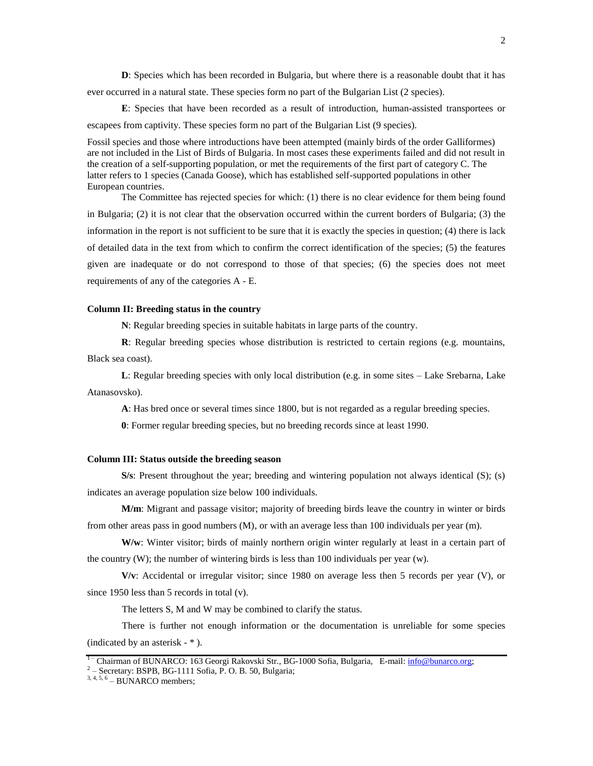**D**: Species which has been recorded in Bulgaria, but where there is a reasonable doubt that it has ever occurred in a natural state. These species form no part of the Bulgarian List (2 species).

**Е**: Species that have been recorded as a result of introduction, human-assisted transportees or escapees from captivity. These species form no part of the Bulgarian List (9 species).

Fossil species and those where introductions have been attempted (mainly birds of the order Galliformes) are not included in the List of Birds of Bulgaria. In most cases these experiments failed and did not result in the creation of a self-supporting population, or met the requirements of the first part of category C. The latter refers to 1 species (Canada Goose), which has established self-supported populations in other European countries.

The Committee has rejected species for which: (1) there is no clear evidence for them being found in Bulgaria; (2) it is not clear that the observation occurred within the current borders of Bulgaria; (3) the information in the report is not sufficient to be sure that it is exactly the species in question; (4) there is lack of detailed data in the text from which to confirm the correct identification of the species; (5) the features given are inadequate or do not correspond to those of that species; (6) the species does not meet requirements of any of the categories A - E.

#### **Column II: Breeding status in the country**

**N**: Regular breeding species in suitable habitats in large parts of the country.

**R**: Regular breeding species whose distribution is restricted to certain regions (e.g. mountains, Black sea coast).

**L**: Regular breeding species with only local distribution (e.g. in some sites – Lake Srebarna, Lake Atanasovsko).

**A**: Has bred once or several times since 1800, but is not regarded as a regular breeding species.

**0**: Former regular breeding species, but no breeding records since at least 1990.

#### **Column III: Status outside the breeding season**

**S/s**: Present throughout the year; breeding and wintering population not always identical (S); (s) indicates an average population size below 100 individuals.

**M/m**: Migrant and passage visitor; majority of breeding birds leave the country in winter or birds from other areas pass in good numbers (M), or with an average less than 100 individuals per year (m).

W/w: Winter visitor; birds of mainly northern origin winter regularly at least in a certain part of the country  $(W)$ ; the number of wintering birds is less than 100 individuals per year  $(w)$ .

**V/v**: Accidental or irregular visitor; since 1980 on average less then 5 records per year (V), or since 1950 less than 5 records in total (v).

The letters S, M and W may be combined to clarify the status.

There is further not enough information or the documentation is unreliable for some species (indicated by an asterisk - \* ).

<sup>&</sup>lt;sup>1</sup> Chairman of BUNARCO: 163 Georgi Rakovski Str., BG-1000 Sofia, Bulgaria, E-mail: [info@bunarco.org;](mailto:info@bunarco.org)

<sup>2</sup> – Secretary: BSPB, BG-1111 Sofia, P. O. B. 50, Bulgaria;

 $3, 4, 5, 6$  – BUNARCO members;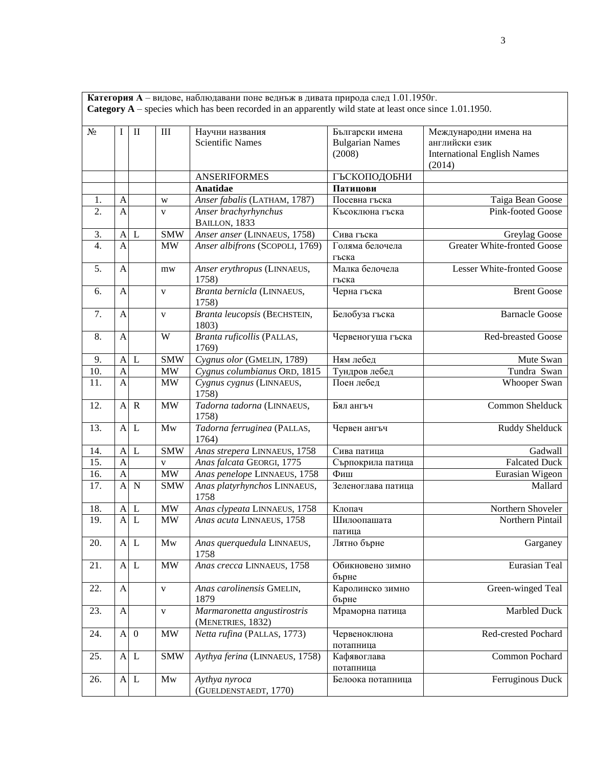**Категория А** – видове, наблюдавани поне веднъж в дивата природа след 1.01.1950г. **Category A** – species which has been recorded in an apparently wild state at least once since 1.01.1950.

| $N_2$            | I                         | $\mathbf{I}$              | III                             | Научни названия<br><b>Scientific Names</b>       | Български имена<br><b>Bulgarian Names</b> | Международни имена на<br>английски език      |
|------------------|---------------------------|---------------------------|---------------------------------|--------------------------------------------------|-------------------------------------------|----------------------------------------------|
|                  |                           |                           |                                 |                                                  | (2008)                                    | <b>International English Names</b><br>(2014) |
|                  |                           |                           |                                 | <b>ANSERIFORMES</b>                              | ГЪСКОПОДОБНИ                              |                                              |
|                  |                           |                           |                                 | Anatidae                                         | Патицови                                  |                                              |
| 1.               | $\mathbf{A}$              |                           | W                               | Anser fabalis (LATHAM, 1787)                     | Посевна гъска                             | Taiga Bean Goose                             |
| 2.               | $\overline{A}$            |                           | $\mathbf{V}$                    | Anser brachyrhynchus<br>BAILLON, 1833            | Късоклюна гъска                           | Pink-footed Goose                            |
| 3.               | $\mathbf{A}$              | L                         | <b>SMW</b>                      | Anser anser (LINNAEUS, 1758)                     | Сива гъска                                | Greylag Goose                                |
| $\overline{4}$ . | $\mathbf{A}$              |                           | MW                              | Anser albifrons (SCOPOLI, 1769)                  | Голяма белочела<br>гъска                  | <b>Greater White-fronted Goose</b>           |
| 5.               | $\mathbf{A}$              |                           | mw                              | Anser erythropus (LINNAEUS,<br>1758)             | Малка белочела<br>гъска                   | Lesser White-fronted Goose                   |
| 6.               | $\mathbf{A}$              |                           | V                               | Branta bernicla (LINNAEUS,<br>1758)              | Черна гъска                               | <b>Brent Goose</b>                           |
| 7.               | $\mathbf{A}$              |                           | $\mathbf{V}$                    | Branta leucopsis (BECHSTEIN,<br>1803)            | Белобуза гъска                            | <b>Barnacle Goose</b>                        |
| 8.               | A                         |                           | W                               | Branta ruficollis (PALLAS,<br>1769)              | Червеногуша гъска                         | <b>Red-breasted Goose</b>                    |
| 9.               | $\mathbf{A}$              | L                         | <b>SMW</b>                      | Cygnus olor (GMELIN, 1789)                       | Ням лебед                                 | Mute Swan                                    |
| 10.              | $\mathbf{A}$              |                           | $\ensuremath{\text{MW}}\xspace$ | Cygnus columbianus ORD, 1815                     | Тундров лебед                             | Tundra Swan                                  |
| 11.              | $\mathbf{A}$              |                           | MW                              | Cygnus cygnus (LINNAEUS,<br>1758)                | Поен лебед                                | Whooper Swan                                 |
| 12.              | $\mathbf{A}$              | $\mathbf R$               | <b>MW</b>                       | Tadorna tadorna (LINNAEUS,<br>1758)              | Бял ангъч                                 | Common Shelduck                              |
| 13.              | $\mathbf{A}$              | L                         | Mw                              | Tadorna ferruginea (PALLAS,<br>1764)             | Червен ангъч                              | Ruddy Shelduck                               |
| 14.              | $\mathbf{A}$              | L                         | <b>SMW</b>                      | Anas strepera LINNAEUS, 1758                     | Сива патица                               | Gadwall                                      |
| 15.              | $\overline{A}$            |                           | V                               | Anas falcata GEORGI, 1775                        | Сърпокрила патица                         | <b>Falcated Duck</b>                         |
| 16.              | $\overline{A}$            |                           | $\ensuremath{\text{MW}}\xspace$ | Anas penelope LINNAEUS, 1758                     | Фиш                                       | Eurasian Wigeon                              |
| 17.              | $\mathbf{A}$              | N                         | <b>SMW</b>                      | Anas platyrhynchos LINNAEUS,<br>1758             | Зеленоглава патица                        | Mallard                                      |
| 18.              | $\mathbf{A}$              | L                         | $\text{MW}{}$                   | Anas clypeata LINNAEUS, 1758                     | Клопач                                    | Northern Shoveler                            |
| 19.              | $\overline{A}$            | L                         | <b>MW</b>                       | Anas acuta LINNAEUS, 1758                        | Шилоопашата<br>патица                     | Northern Pintail                             |
| 20.              | $\mathbf{A}$              | L                         | Mw                              | Anas querquedula LINNAEUS,<br>1758               | Лятно бърне                               | Garganey                                     |
| 21.              |                           | A L                       | $\text{MW}{}$                   | Anas crecca LINNAEUS, 1758                       | Обикновено зимно<br>бърне                 | Eurasian Teal                                |
| 22.              | $\mathbf{A}$              |                           | $\mathbf{V}$                    | Anas carolinensis GMELIN,<br>1879                | Каролинско зимно<br>бърне                 | Green-winged Teal                            |
| 23.              | $\boldsymbol{\mathsf{A}}$ |                           | $\mathbf V$                     | Marmaronetta angustirostris<br>(MENETRIES, 1832) | Мраморна патица                           | Marbled Duck                                 |
| 24.              |                           | $A \ 0$                   | $\text{MW}{}$                   | Netta rufina (PALLAS, 1773)                      | Червеноклюна<br>потапница                 | Red-crested Pochard                          |
| 25.              |                           | A L                       | <b>SMW</b>                      | Aythya ferina (LINNAEUS, 1758)                   | Кафявоглава<br>потапница                  | Common Pochard                               |
| 26.              |                           | $\mathbf{A}$ $\mathbf{L}$ | $\mathop{\rm Mw}\nolimits$      | Aythya nyroca<br>(GUELDENSTAEDT, 1770)           | Белоока потапница                         | Ferruginous Duck                             |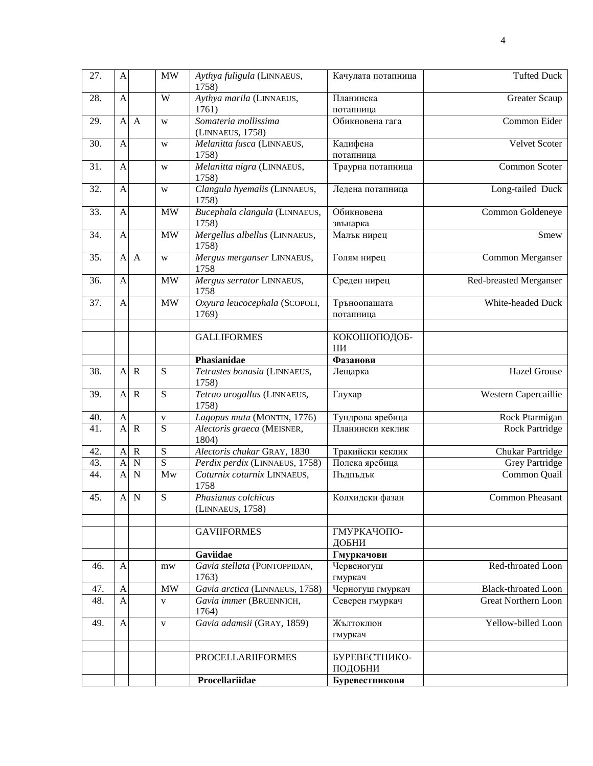| 27. | A              |              | <b>MW</b>      | Aythya fuligula (LINNAEUS,<br>1758)      | Качулата потапница        | <b>Tufted Duck</b>         |
|-----|----------------|--------------|----------------|------------------------------------------|---------------------------|----------------------------|
| 28. | $\mathbf{A}$   |              | W              | Aythya marila (LINNAEUS,<br>1761)        | Планинска<br>потапница    | Greater Scaup              |
| 29. | $\mathbf{A}$   | $\mathbf{A}$ | W              | Somateria mollissima<br>(LINNAEUS, 1758) | Обикновена гага           | Common Eider               |
| 30. | $\mathbf{A}$   |              | W              | Melanitta fusca (LINNAEUS,<br>1758)      | Кадифена<br>потапница     | Velvet Scoter              |
| 31. | $\mathbf{A}$   |              | W              | Melanitta nigra (LINNAEUS,<br>1758)      | Траурна потапница         | Common Scoter              |
| 32. | $\mathbf{A}$   |              | W              | Clangula hyemalis (LINNAEUS,<br>1758)    | Ледена потапница          | Long-tailed Duck           |
| 33. | $\mathbf{A}$   |              | MW             | Bucephala clangula (LINNAEUS,<br>1758)   | Обикновена<br>звънарка    | Common Goldeneye           |
| 34. | $\mathbf{A}$   |              | MW             | Mergellus albellus (LINNAEUS,<br>1758)   | Малък нирец               | Smew                       |
| 35. | $\mathbf{A}$   | $\mathbf{A}$ | W              | Mergus merganser LINNAEUS,<br>1758       | Голям нирец               | Common Merganser           |
| 36. | $\mathbf{A}$   |              | MW             | Mergus serrator LINNAEUS,<br>1758        | Среден нирец              | Red-breasted Merganser     |
| 37. | $\mathbf{A}$   |              | MW             | Oxyura leucocephala (SCOPOLI,<br>1769)   | Тръноопашата<br>потапница | White-headed Duck          |
|     |                |              |                | <b>GALLIFORMES</b>                       | КОКОШОПОДОБ-<br>HИ        |                            |
|     |                |              |                | Phasianidae                              | Фазанови                  |                            |
| 38. | $\mathbf{A}$   | $\mathbf R$  | ${\bf S}$      | Tetrastes bonasia (LINNAEUS,<br>1758)    | Лещарка                   | <b>Hazel Grouse</b>        |
| 39. | $\mathbf{A}$   | $\mathbf R$  | ${\bf S}$      | Tetrao urogallus (LINNAEUS,<br>1758)     | Глухар                    | Western Capercaillie       |
| 40. | $\mathbf{A}$   |              | $\mathbf{V}$   | Lagopus muta (MONTIN, 1776)              | Тундрова яребица          | Rock Ptarmigan             |
| 41. | $\overline{A}$ | $\mathbf R$  | $\overline{S}$ | Alectoris graeca (MEISNER,<br>1804)      | Планински кеклик          | Rock Partridge             |
| 42. | $\mathbf{A}$   | $\mathbf R$  | $\overline{S}$ | Alectoris chukar GRAY, 1830              | Тракийски кеклик          | <b>Chukar Partridge</b>    |
| 43. | $\overline{A}$ | $\mathbf N$  | $\overline{S}$ | Perdix perdix (LINNAEUS, 1758)           | Полска яребица            | <b>Grey Partridge</b>      |
| 44. | $\mathbf{A}$   | N            | Mw             | Coturnix coturnix LINNAEUS,<br>1758      | Пъдпъдък                  | Common Quail               |
| 45. | $\mathbf{A}$   | $\mathbf N$  | ${\bf S}$      | Phasianus colchicus<br>(LINNAEUS, 1758)  | Колхидски фазан           | <b>Common Pheasant</b>     |
|     |                |              |                | <b>GAVIIFORMES</b>                       | ГМУРКАЧОПО-<br>ДОБНИ      |                            |
|     |                |              |                | Gaviidae                                 | Гмуркачови                |                            |
| 46. | $\mathbf{A}$   |              | mw             | Gavia stellata (PONTOPPIDAN,<br>1763)    | Червеногуш<br>гмуркач     | Red-throated Loon          |
| 47. | $\mathbf{A}$   |              | <b>MW</b>      | Gavia arctica (LINNAEUS, 1758)           | Черногуш гмуркач          | <b>Black-throated Loon</b> |
| 48. | $\mathbf{A}$   |              | $\mathbf{V}$   | Gavia immer (BRUENNICH,<br>1764)         | Северен гмуркач           | <b>Great Northern Loon</b> |
| 49. | $\mathbf{A}$   |              | $\mathbf{V}$   | Gavia adamsii (GRAY, 1859)               | Жълтоклюн<br>гмуркач      | Yellow-billed Loon         |
|     |                |              |                | <b>PROCELLARIIFORMES</b>                 | БУРЕВЕСТНИКО-<br>ПОДОБНИ  |                            |
|     |                |              |                | Procellariidae                           | Буревестникови            |                            |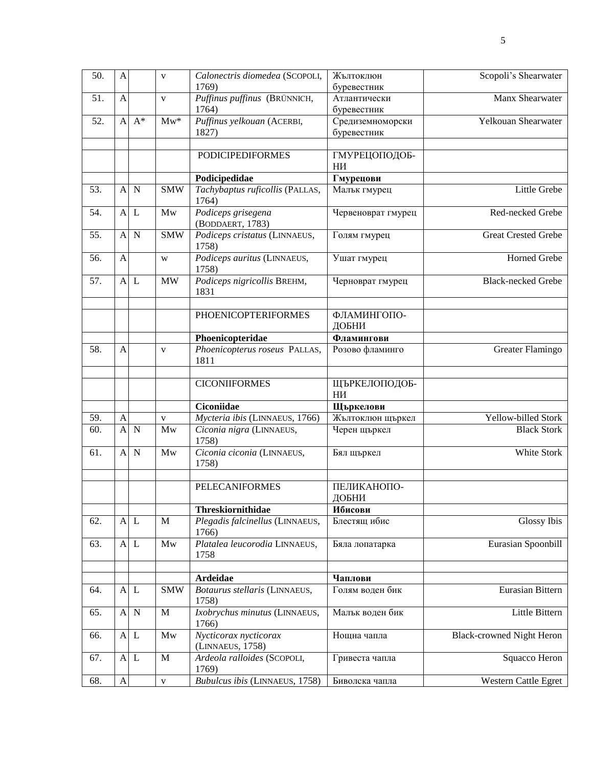| 50. | A                |              | $\mathbf{V}$ | Calonectris diomedea (SCOPOLI,<br>1769)          | Жълтоклюн<br>буревестник        | Scopoli's Shearwater             |
|-----|------------------|--------------|--------------|--------------------------------------------------|---------------------------------|----------------------------------|
| 51. | $\mathbf{A}$     |              | $\mathbf{V}$ | Puffinus puffinus (BRÜNNICH,<br>1764)            | Атлантически<br>буревестник     | Manx Shearwater                  |
| 52. | $\mathbf{A}$     | $A^*$        | $Mw^*$       | Puffinus yelkouan (ACERBI,<br>1827)              | Средиземноморски<br>буревестник | Yelkouan Shearwater              |
|     |                  |              |              | <b>PODICIPEDIFORMES</b>                          | ГМУРЕЦОПОДОБ-<br>ΗИ             |                                  |
|     |                  |              |              | Podicipedidae                                    | Гмурецови                       |                                  |
| 53. | $\mathbf{A}$     | $\mathbf N$  | <b>SMW</b>   | Tachybaptus ruficollis (PALLAS,<br>1764)         | Малък гмурец                    | Little Grebe                     |
| 54. | $\mathbf{A}$     | L            | Mw           | Podiceps grisegena<br>(BODDAERT, 1783)           | Червеноврат гмурец              | Red-necked Grebe                 |
| 55. | $\mathbf{A}$     | $\mathbf N$  | <b>SMW</b>   | Podiceps cristatus (LINNAEUS,<br>1758)           | Голям гмурец                    | <b>Great Crested Grebe</b>       |
| 56. | $\mathbf{A}$     |              | W            | Podiceps auritus (LINNAEUS,<br>1758)             | Ушат гмурец                     | Horned Grebe                     |
| 57. |                  | $A$ $L$      | MW           | Podiceps nigricollis BREHM,<br>1831              | Черноврат гмурец                | <b>Black-necked Grebe</b>        |
|     |                  |              |              | <b>PHOENICOPTERIFORMES</b>                       | ФЛАМИНГОПО-<br>ДОБНИ            |                                  |
|     |                  |              |              | Phoenicopteridae                                 | Фламингови                      |                                  |
| 58. | A                |              | V            | Phoenicopterus roseus PALLAS,<br>1811            | Розово фламинго                 | Greater Flamingo                 |
|     |                  |              |              | <b>CICONIIFORMES</b>                             | ЩЪРКЕЛОПОДОБ-<br>ΗИ             |                                  |
|     |                  |              |              | Ciconiidae                                       | Щъркелови                       |                                  |
| 59. | A                |              | $\mathbf{V}$ | Mycteria ibis (LINNAEUS, 1766)                   | Жълтоклюн щъркел                | Yellow-billed Stork              |
| 60. | $\mathbf{A}$     | $\mathbf N$  | Mw           | Ciconia nigra (LINNAEUS,<br>1758)                | Черен щъркел                    | <b>Black Stork</b>               |
| 61. | $\mathbf{A}$     | $\mathbf N$  | Mw           | Ciconia ciconia (LINNAEUS,<br>1758)              | Бял щъркел                      | White Stork                      |
|     |                  |              |              | <b>PELECANIFORMES</b>                            | ПЕЛИКАНОПО-<br>ДОБНИ            |                                  |
|     |                  |              |              | Threskiornithidae                                | Ибисови                         |                                  |
| 62. | $\mathbf{A}$     | L            | $\mathbf M$  | Plegadis falcinellus (LINNAEUS,<br>1766)         | Блестящ ибис                    | <b>Glossy Ibis</b>               |
| 63. | $\mathbf{A}$     | $\mathbf{L}$ | Mw           | Platalea leucorodia LINNAEUS,<br>1758            | Бяла лопатарка                  | Eurasian Spoonbill               |
|     |                  |              |              |                                                  |                                 |                                  |
| 64. |                  |              | <b>SMW</b>   | <b>Ardeidae</b><br>Botaurus stellaris (LINNAEUS, | Чаплови<br>Голям воден бик      | Eurasian Bittern                 |
|     | $\mathbf{A}$     | L            |              | 1758)                                            |                                 |                                  |
| 65. | $\mathbf A$      | $\mathbf N$  | $\mathbf M$  | Ixobrychus minutus (LINNAEUS,<br>1766)           | Малък воден бик                 | Little Bittern                   |
| 66. |                  | $A$ L        | Mw           | Nycticorax nycticorax<br>(LINNAEUS, 1758)        | Нощна чапла                     | <b>Black-crowned Night Heron</b> |
| 67. |                  | $A$ L        | M            | Ardeola ralloides (SCOPOLI,<br>1769)             | Гривеста чапла                  | Squacco Heron                    |
| 68. | $\boldsymbol{A}$ |              | $\mathbf{V}$ | Bubulcus ibis (LINNAEUS, 1758)                   | Биволска чапла                  | Western Cattle Egret             |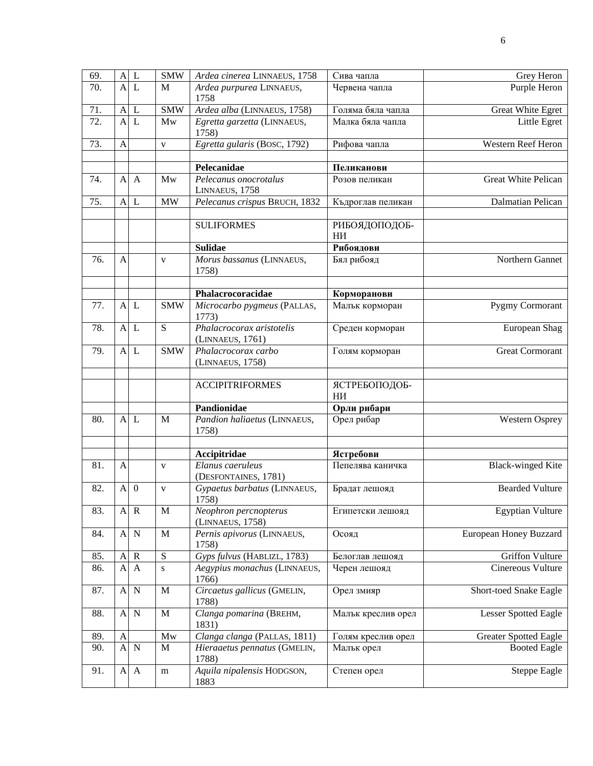| 69. | $\mathbf{A}$              | L              | <b>SMW</b>       | Ardea cinerea LINNAEUS, 1758                  | Сива чапла          | Grey Heron                   |
|-----|---------------------------|----------------|------------------|-----------------------------------------------|---------------------|------------------------------|
| 70. | $\overline{A}$            | L              | M                | Ardea purpurea LINNAEUS,<br>1758              | Червена чапла       | Purple Heron                 |
| 71. | $\mathbf{A}$              | L              | <b>SMW</b>       | Ardea alba (LINNAEUS, 1758)                   | Голяма бяла чапла   | Great White Egret            |
| 72. | A                         | L              | Mw               | Egretta garzetta (LINNAEUS,<br>1758)          | Малка бяла чапла    | Little Egret                 |
| 73. | $\mathbf{A}$              |                | $\mathbf{V}$     | Egretta gularis (BOSC, 1792)                  | Рифова чапла        | Western Reef Heron           |
|     |                           |                |                  |                                               |                     |                              |
|     |                           |                |                  | Pelecanidae                                   | Пеликанови          |                              |
| 74. | A                         | $\mathbf{A}$   | Mw               | Pelecanus onocrotalus<br>LINNAEUS, 1758       | Розов пеликан       | <b>Great White Pelican</b>   |
| 75. | $\mathbf{A}$              | L              | <b>MW</b>        | Pelecanus crispus BRUCH, 1832                 | Къдроглав пеликан   | Dalmatian Pelican            |
|     |                           |                |                  |                                               |                     |                              |
|     |                           |                |                  | <b>SULIFORMES</b>                             | РИБОЯДОПОДОБ-<br>ΗИ |                              |
|     |                           |                |                  | <b>Sulidae</b>                                | Рибоядови           |                              |
| 76. | A                         |                | $\mathbf{V}$     | Morus bassanus (LINNAEUS,<br>1758)            | Бял рибояд          | Northern Gannet              |
|     |                           |                |                  |                                               |                     |                              |
|     |                           |                |                  | Phalacrocoracidae                             | Корморанови         |                              |
| 77. | $\mathbf{A}$              | L              | <b>SMW</b>       | Microcarbo pygmeus (PALLAS,<br>1773)          | Малък корморан      | Pygmy Cormorant              |
| 78. | $\mathbf{A}$              | L              | $\overline{S}$   | Phalacrocorax aristotelis<br>(LINNAEUS, 1761) | Среден корморан     | European Shag                |
| 79. | $\mathbf{A}$              | L              | <b>SMW</b>       | Phalacrocorax carbo<br>(LINNAEUS, 1758)       | Голям корморан      | <b>Great Cormorant</b>       |
|     |                           |                |                  |                                               |                     |                              |
|     |                           |                |                  | <b>ACCIPITRIFORMES</b>                        | ЯСТРЕБОПОДОБ-       |                              |
|     |                           |                |                  |                                               | НИ                  |                              |
|     |                           |                |                  | Pandionidae                                   | Орли рибари         |                              |
| 80. | A                         | L              | M                | Pandion haliaetus (LINNAEUS,<br>1758)         | Орел рибар          | <b>Western Osprey</b>        |
|     |                           |                |                  |                                               |                     |                              |
|     |                           |                |                  | Accipitridae                                  | Ястребови           |                              |
| 81. | $\mathbf{A}$              |                | $\mathbf{V}$     | Elanus caeruleus<br>(DESFONTAINES, 1781)      | Пепелява каничка    | <b>Black-winged Kite</b>     |
| 82. | $\mathbf{A}$              | $\overline{0}$ | V                | Gypaetus barbatus (LINNAEUS,<br>1758)         | Брадат лешояд       | <b>Bearded Vulture</b>       |
| 83. | $\boldsymbol{A}$          | $\mathbf R$    | M                | Neophron percnopterus<br>(LINNAEUS, 1758)     | Египетски лешояд    | <b>Egyptian Vulture</b>      |
| 84. | $\mathbf{A}$              | $\mathbf N$    | $\mathbf M$      | Pernis apivorus (LINNAEUS,<br>1758)           | Осояд               | European Honey Buzzard       |
| 85. | $\boldsymbol{A}$          | $\mathbf R$    | ${\bf S}$        | Gyps fulvus (HABLIZL, 1783)                   | Белоглав лешояд     | <b>Griffon Vulture</b>       |
| 86. | A                         | A              | ${\bf S}$        | Aegypius monachus (LINNAEUS,<br>1766)         | Черен лешояд        | Cinereous Vulture            |
| 87. | A                         | $\mathbf N$    | $\mathbf M$      | Circaetus gallicus (GMELIN,<br>1788)          | Орел змияр          | Short-toed Snake Eagle       |
| 88. | $\boldsymbol{\mathsf{A}}$ | $\mathbf N$    | $\mathbf M$      | Clanga pomarina (BREHM,<br>1831)              | Малък креслив орел  | Lesser Spotted Eagle         |
| 89. | $\mathbf{A}$              |                | $\overline{M}$ w | Clanga clanga (PALLAS, 1811)                  | Голям креслив орел  | <b>Greater Spotted Eagle</b> |
| 90. | $\mathbf{A}$              | $\mathbf N$    | M                | Hieraaetus pennatus (GMELIN,<br>1788)         | Малък орел          | <b>Booted Eagle</b>          |
| 91. | $\mathbf{A}$              | $\mathbf{A}$   | m                | Aquila nipalensis HODGSON,<br>1883            | Степен орел         | Steppe Eagle                 |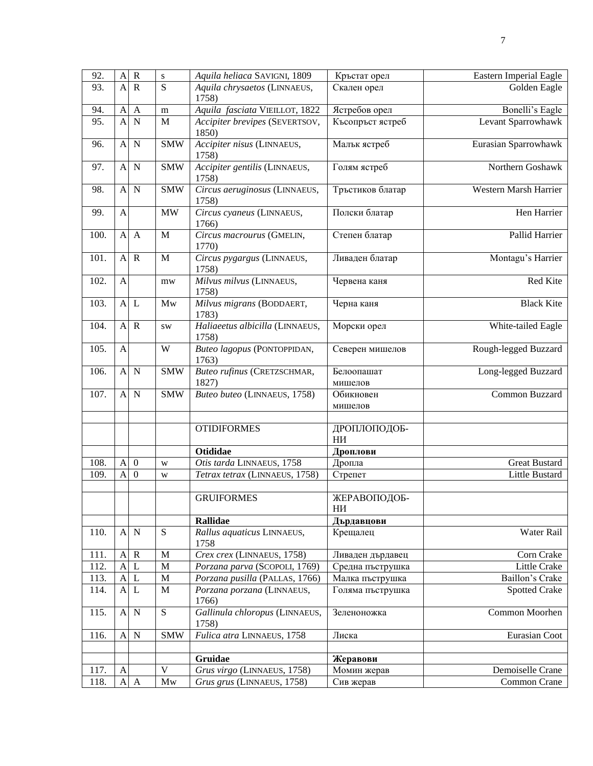| 92.  | $\overline{A}$ | $\mathbf R$      | ${\bf S}$               | Aquila heliaca SAVIGNI, 1809             | Кръстат орел          | Eastern Imperial Eagle |
|------|----------------|------------------|-------------------------|------------------------------------------|-----------------------|------------------------|
| 93.  | $\overline{A}$ | $\mathbb{R}$     | $\overline{S}$          | Aquila chrysaetos (LINNAEUS,<br>1758)    | Скален орел           | Golden Eagle           |
| 94.  | $\mathbf{A}$   | $\mathbf{A}$     | m                       | Aquila fasciata VIEILLOT, 1822           | Ястребов орел         | Bonelli's Eagle        |
| 95.  | A              | $\mathbf N$      | M                       | Accipiter brevipes (SEVERTSOV,<br>1850)  | Късопръст ястреб      | Levant Sparrowhawk     |
| 96.  | A              | $\mathbf N$      | <b>SMW</b>              | Accipiter nisus (LINNAEUS,<br>1758)      | Малък ястреб          | Eurasian Sparrowhawk   |
| 97.  | $\mathbf{A}$   | $\mathbf N$      | <b>SMW</b>              | Accipiter gentilis (LINNAEUS,<br>1758)   | Голям ястреб          | Northern Goshawk       |
| 98.  | $\mathbf{A}$   | $\mathbf N$      | $\overline{\text{SMW}}$ | Circus aeruginosus (LINNAEUS,<br>1758)   | Тръстиков блатар      | Western Marsh Harrier  |
| 99.  | $\mathbf{A}$   |                  | <b>MW</b>               | Circus cyaneus (LINNAEUS,<br>1766)       | Полски блатар         | Hen Harrier            |
| 100. | $\mathbf{A}$   | $\mathbf{A}$     | $\mathbf{M}$            | Circus macrourus (GMELIN,<br>1770)       | Степен блатар         | Pallid Harrier         |
| 101. | $\mathbf{A}$   | $\mathbf R$      | $\mathbf{M}$            | Circus pygargus (LINNAEUS,<br>1758)      | Ливаден блатар        | Montagu's Harrier      |
| 102. | $\mathbf{A}$   |                  | mw                      | Milvus milvus (LINNAEUS,<br>1758)        | Червена каня          | Red Kite               |
| 103. | $\mathbf{A}$   | L                | Mw                      | Milvus migrans (BODDAERT,<br>1783)       | Черна каня            | <b>Black Kite</b>      |
| 104. | $\mathbf{A}$   | $\mathbf R$      | <b>SW</b>               | Haliaeetus albicilla (LINNAEUS,<br>1758) | Морски орел           | White-tailed Eagle     |
| 105. | A              |                  | W                       | Buteo lagopus (PONTOPPIDAN,<br>1763)     | Северен мишелов       | Rough-legged Buzzard   |
| 106. | $\mathbf{A}$   | N                | <b>SMW</b>              | Buteo rufinus (CRETZSCHMAR,<br>1827)     | Белоопашат<br>мишелов | Long-legged Buzzard    |
| 107. | $\mathbf{A}$   | $\mathbf N$      | <b>SMW</b>              | Buteo buteo (LINNAEUS, 1758)             | Обикновен<br>мишелов  | Common Buzzard         |
|      |                |                  |                         | <b>OTIDIFORMES</b>                       | ДРОПЛОПОДОБ-<br>НИ    |                        |
|      |                |                  |                         | <b>Otididae</b>                          | Дроплови              |                        |
| 108. | A              | $\boldsymbol{0}$ | W                       | Otis tarda LINNAEUS, 1758                | Дропла                | <b>Great Bustard</b>   |
| 109. | A              | $\boldsymbol{0}$ | W                       | Tetrax tetrax (LINNAEUS, 1758)           | Стрепет               | Little Bustard         |
|      |                |                  |                         | <b>GRUIFORMES</b>                        | ЖЕРАВОПОДОБ-<br>НИ    |                        |
|      |                |                  |                         | <b>Rallidae</b>                          | Дърдавцови            |                        |
| 110. | A              | $\mathbf N$      | $\overline{S}$          | Rallus aquaticus LINNAEUS,<br>1758       | Крещалец              | Water Rail             |
| 111. | $\mathbf{A}$   | $\mathbf R$      | $\mathbf M$             | Crex crex (LINNAEUS, 1758)               | Ливаден дърдавец      | Corn Crake             |
| 112. | A              | L                | M                       | Porzana parva (SCOPOLI, 1769)            | Средна пъструшка      | Little Crake           |
| 113. | A              | L                | $\mathbf M$             | Porzana pusilla (PALLAS, 1766)           | Малка пъструшка       | Baillon's Crake        |
| 114. | A              | L                | $\mathbf M$             | Porzana porzana (LINNAEUS,<br>1766)      | Голяма пъструшка      | <b>Spotted Crake</b>   |
| 115. | $\mathbf{A}$   | $\mathbf N$      | $\overline{S}$          | Gallinula chloropus (LINNAEUS,<br>1758)  | Зеленоножка           | Common Moorhen         |
| 116. | $\overline{A}$ | $\mathbf N$      | <b>SMW</b>              | Fulica atra LINNAEUS, 1758               | Лиска                 | Eurasian Coot          |
|      |                |                  |                         |                                          |                       |                        |
|      |                |                  |                         | Gruidae                                  | Жеравови              |                        |
| 117. | $\mathbf{A}$   |                  | $\overline{\mathbf{V}}$ | Grus virgo (LINNAEUS, 1758)              | Момин жерав           | Demoiselle Crane       |
| 118. | $\mathbf{A}$   | $\mathbf{A}$     | $\mathbf{M}\mathbf{w}$  | Grus grus (LINNAEUS, 1758)               | Сив жерав             | Common Crane           |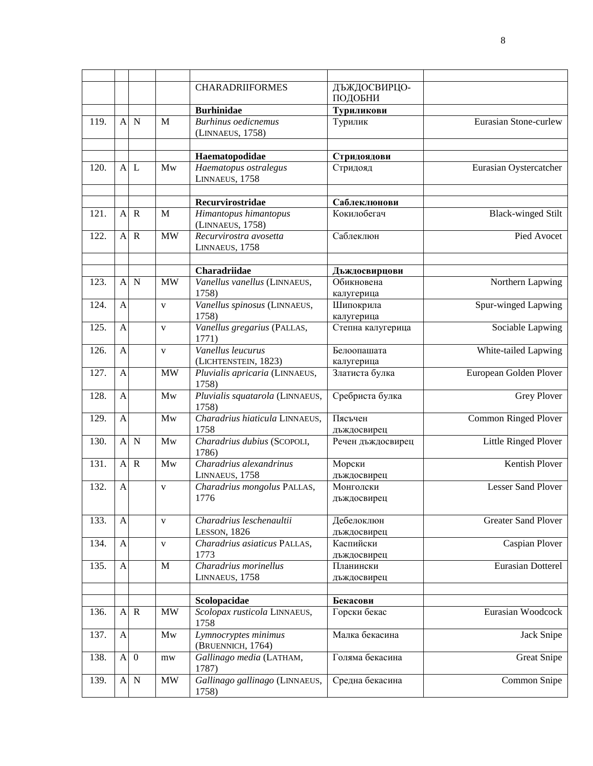|                    |                           |                |              | <b>CHARADRIIFORMES</b>                    | ДЪЖДОСВИРЦО-      |                             |
|--------------------|---------------------------|----------------|--------------|-------------------------------------------|-------------------|-----------------------------|
|                    |                           |                |              |                                           | ПОДОБНИ           |                             |
|                    |                           |                |              | <b>Burhinidae</b>                         | Туриликови        |                             |
| 119.               | $\mathbf{A}$              | $\mathbf N$    | M            | <b>Burhinus oedicnemus</b>                | Турилик           | Eurasian Stone-curlew       |
|                    |                           |                |              | (LINNAEUS, 1758)                          |                   |                             |
|                    |                           |                |              |                                           |                   |                             |
|                    |                           |                |              | Haematopodidae                            | Стридоядови       |                             |
| 120.               | $\mathbf{A}$              | L              | Mw           | Haematopus ostralegus                     | Стридояд          | Eurasian Oystercatcher      |
|                    |                           |                |              | LINNAEUS, 1758                            |                   |                             |
|                    |                           |                |              |                                           |                   |                             |
|                    |                           |                |              | Recurvirostridae                          | Саблеклюнови      |                             |
| 121.               | $\mathbf{A}$              | $\mathbf R$    | M            | Himantopus himantopus                     | Кокилобегач       | <b>Black-winged Stilt</b>   |
|                    |                           |                |              | (LINNAEUS, 1758)                          |                   |                             |
| 122.               | $\mathbf{A}$              | $\mathbf R$    | <b>MW</b>    | Recurvirostra avosetta                    | Саблеклюн         | Pied Avocet                 |
|                    |                           |                |              | LINNAEUS, 1758                            |                   |                             |
|                    |                           |                |              |                                           |                   |                             |
|                    |                           |                |              | Charadriidae                              | Дъждосвирцови     |                             |
| 123.               | $\mathbf{A}$              | $\mathbf N$    | <b>MW</b>    | Vanellus vanellus (LINNAEUS,              | Обикновена        | Northern Lapwing            |
|                    |                           |                |              | 1758)                                     | калугерица        |                             |
| 124.               | $\mathbf{A}$              |                | $\mathbf{V}$ | Vanellus spinosus (LINNAEUS,              | Шипокрила         | Spur-winged Lapwing         |
|                    |                           |                |              | 1758)                                     | калугерица        |                             |
| 125.               | $\mathbf{A}$              |                | $\mathbf{V}$ | Vanellus gregarius (PALLAS,               | Степна калугерица | Sociable Lapwing            |
|                    |                           |                |              | 1771)                                     |                   |                             |
| 126.               | $\mathbf{A}$              |                | V            | Vanellus leucurus                         | Белоопашата       | White-tailed Lapwing        |
|                    |                           |                |              | (LICHTENSTEIN, 1823)                      | калугерица        |                             |
| $\overline{127}$ . | $\mathbf{A}$              |                | <b>MW</b>    | Pluvialis apricaria (LINNAEUS,            | Златиста булка    | European Golden Plover      |
| 128.               | $\mathbf{A}$              |                | Mw           | 1758)                                     |                   |                             |
|                    |                           |                |              | Pluvialis squatarola (LINNAEUS,<br>1758)  | Сребриста булка   | Grey Plover                 |
| 129.               | A                         |                | Mw           | Charadrius hiaticula LINNAEUS,            | Пясъчен           | <b>Common Ringed Plover</b> |
|                    |                           |                |              | 1758                                      | дъждосвирец       |                             |
| 130.               | $\mathbf{A}$              | $\mathbf N$    | Mw           | Charadrius dubius (SCOPOLI,               | Речен дъждосвирец | Little Ringed Plover        |
|                    |                           |                |              | 1786)                                     |                   |                             |
| 131.               | $\mathbf{A}$              | $\mathbf R$    | Mw           | Charadrius alexandrinus                   | Морски            | <b>Kentish Plover</b>       |
|                    |                           |                |              | LINNAEUS, 1758                            | дъждосвирец       |                             |
| 132.               | $\overline{A}$            |                | V            | Charadrius mongolus PALLAS,               | Монголски         | Lesser Sand Plover          |
|                    |                           |                |              | 1776                                      | дъждосвирец       |                             |
|                    |                           |                |              |                                           |                   |                             |
| 133.               | $\mathbf{A}$              |                | V            | Charadrius leschenaultii                  | Дебелоклюн        | <b>Greater Sand Plover</b>  |
|                    |                           |                |              | LESSON, 1826                              | дъждосвирец       |                             |
| 134.               | $\boldsymbol{\mathsf{A}}$ |                | V            | Charadrius asiaticus PALLAS,              | Каспийски         | Caspian Plover              |
|                    |                           |                |              | 1773                                      | дъждосвирец       |                             |
| 135.               | $\boldsymbol{\mathsf{A}}$ |                | $\mathbf M$  | Charadrius morinellus                     | Планински         | Eurasian Dotterel           |
|                    |                           |                |              | LINNAEUS, 1758                            | дъждосвирец       |                             |
|                    |                           |                |              |                                           |                   |                             |
|                    |                           |                |              | Scolopacidae                              | Бекасови          |                             |
| 136.               | $\mathbf{A}$              | $\mathbf R$    | <b>MW</b>    | Scolopax rusticola LINNAEUS,<br>1758      | Горски бекас      | Eurasian Woodcock           |
| 137.               |                           |                | Mw           |                                           | Малка бекасина    |                             |
|                    | $\boldsymbol{\mathsf{A}}$ |                |              | Lymnocryptes minimus<br>(BRUENNICH, 1764) |                   | Jack Snipe                  |
| 138.               | $\mathbf{A}$              | $\overline{0}$ | $m$ w        | Gallinago media (LATHAM,                  | Голяма бекасина   | <b>Great Snipe</b>          |
|                    |                           |                |              | 1787)                                     |                   |                             |
| 139.               |                           | A N            | <b>MW</b>    | Gallinago gallinago (LINNAEUS,            | Средна бекасина   | Common Snipe                |
|                    |                           |                |              | 1758)                                     |                   |                             |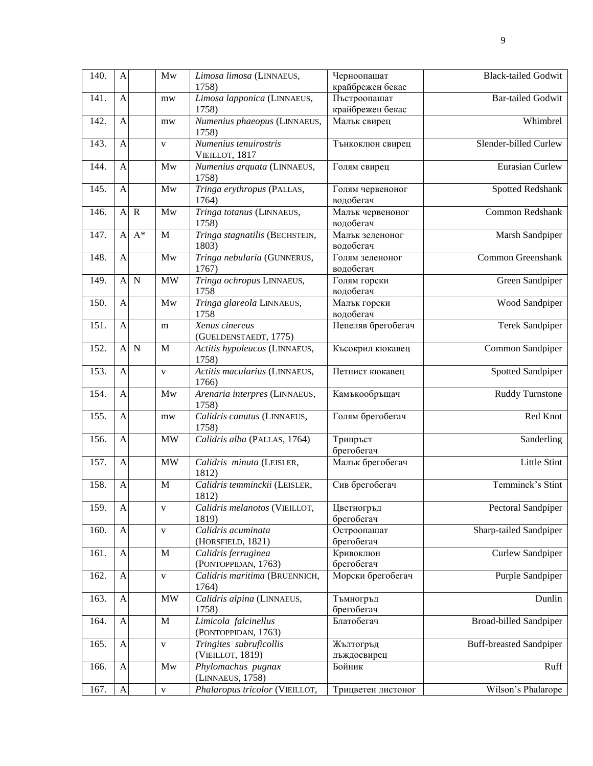| 140. | $\mathbf{A}$   |             | Mw           | Limosa limosa (LINNAEUS,<br>1758)           | Черноопашат<br>крайбрежен бекас  | <b>Black-tailed Godwit</b>     |
|------|----------------|-------------|--------------|---------------------------------------------|----------------------------------|--------------------------------|
| 141. | $\mathbf{A}$   |             | mw           | Limosa lapponica (LINNAEUS,<br>1758)        | Пъстроопашат<br>крайбрежен бекас | Bar-tailed Godwit              |
| 142. | $\mathbf{A}$   |             | mw           | Numenius phaeopus (LINNAEUS,<br>1758)       | Малък свирец                     | Whimbrel                       |
| 143. | $\overline{A}$ |             | $\mathbf{V}$ | Numenius tenuirostris<br>VIEILLOT, 1817     | Тънкоклюн свирец                 | Slender-billed Curlew          |
| 144. | $\mathbf{A}$   |             | Mw           | Numenius arquata (LINNAEUS,<br>1758)        | Голям свирец                     | Eurasian Curlew                |
| 145. | $\mathbf{A}$   |             | Mw           | Tringa erythropus (PALLAS,<br>1764)         | Голям червеноног<br>водобегач    | <b>Spotted Redshank</b>        |
| 146. | $\mathbf{A}$   | $\mathbf R$ | Mw           | Tringa totanus (LINNAEUS,<br>1758)          | Малък червеноног<br>водобегач    | Common Redshank                |
| 147. | $\mathbf{A}$   | $A^*$       | M            | Tringa stagnatilis (BECHSTEIN,<br>1803)     | Малък зеленоног<br>водобегач     | Marsh Sandpiper                |
| 148. | $\mathbf{A}$   |             | Mw           | Tringa nebularia (GUNNERUS,<br>1767)        | Голям зеленоног<br>водобегач     | Common Greenshank              |
| 149. | $\mathbf{A}$   | $\mathbf N$ | <b>MW</b>    | Tringa ochropus LINNAEUS,<br>1758           | Голям горски<br>водобегач        | Green Sandpiper                |
| 150. | $\mathbf{A}$   |             | Mw           | Tringa glareola LINNAEUS,<br>1758           | Малък горски<br>водобегач        | Wood Sandpiper                 |
| 151. | $\mathbf{A}$   |             | m            | Xenus cinereus<br>(GUELDENSTAEDT, 1775)     | Пепеляв брегобегач               | Terek Sandpiper                |
| 152. | $\mathbf{A}$   | $\mathbf N$ | M            | Actitis hypoleucos (LINNAEUS,<br>1758)      | Късокрил кюкавец                 | Common Sandpiper               |
| 153. | A              |             | $\mathbf{V}$ | Actitis macularius (LINNAEUS,<br>1766)      | Петнист кюкавец                  | <b>Spotted Sandpiper</b>       |
| 154. | $\overline{A}$ |             | Mw           | Arenaria interpres (LINNAEUS,<br>1758)      | Камъкообръщач                    | Ruddy Turnstone                |
| 155. | $\overline{A}$ |             | mw           | Calidris canutus (LINNAEUS,<br>1758)        | Голям брегобегач                 | Red Knot                       |
| 156. | $\mathbf{A}$   |             | <b>MW</b>    | Calidris alba (PALLAS, 1764)                | Трипръст<br>брегобегач           | Sanderling                     |
| 157. | $\mathbf{A}$   |             | MW           | Calidris minuta (LEISLER,<br>1812)          | Малък брегобегач                 | Little Stint                   |
| 158. | A              |             | M            | Calidris temminckii (LEISLER,<br>1812)      | Сив брегобегач                   | Temminck's Stint               |
| 159. | A              |             | $\mathbf{V}$ | Calidris melanotos (VIEILLOT,<br>1819)      | Цветногръд<br>брегобегач         | Pectoral Sandpiper             |
| 160. | $\mathbf{A}$   |             | $\mathbf{V}$ | Calidris acuminata<br>(HORSFIELD, 1821)     | Остроопашат<br>брегобегач        | Sharp-tailed Sandpiper         |
| 161. | $\mathbf{A}$   |             | M            | Calidris ferruginea<br>(PONTOPPIDAN, 1763)  | Кривоклюн<br>брегобегач          | Curlew Sandpiper               |
| 162. | $\mathbf{A}$   |             | $\mathbf{V}$ | Calidris maritima (BRUENNICH,<br>1764)      | Морски брегобегач                | Purple Sandpiper               |
| 163. | A              |             | MW           | Calidris alpina (LINNAEUS,<br>1758)         | Тъмногръд<br>брегобегач          | Dunlin                         |
| 164. | A              |             | M            | Limicola falcinellus<br>(PONTOPPIDAN, 1763) | Блатобегач                       | <b>Broad-billed Sandpiper</b>  |
| 165. | A              |             | $\mathbf V$  | Tringites subruficollis<br>(VIEILLOT, 1819) | Жълтогръд<br>дъждосвирец         | <b>Buff-breasted Sandpiper</b> |
| 166. | $\mathbf{A}$   |             | Mw           | Phylomachus pugnax<br>(LINNAEUS, 1758)      | Бойник                           | Ruff                           |
| 167. | $\mathbf{A}$   |             | $\mathbf{V}$ | Phalaropus tricolor (VIEILLOT,              | Трицветен листоног               | Wilson's Phalarope             |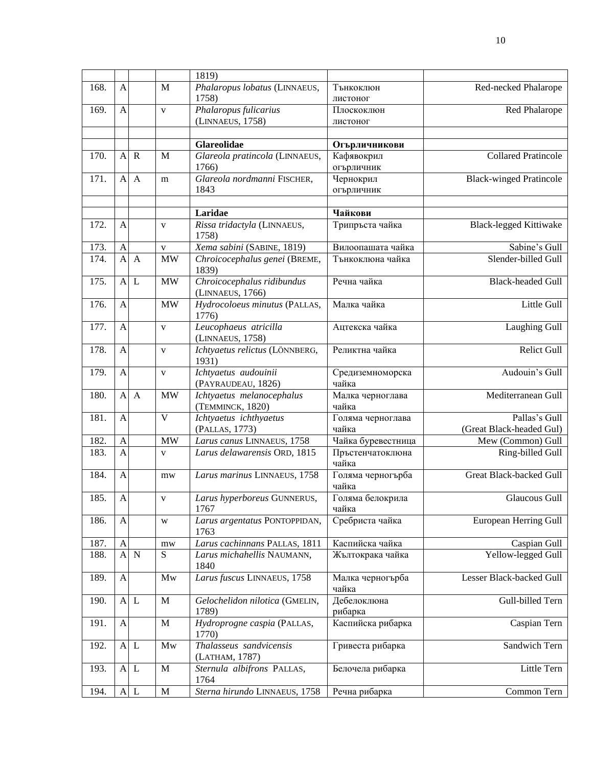|      |                |              |                         | 1819)                                          |                             |                                           |
|------|----------------|--------------|-------------------------|------------------------------------------------|-----------------------------|-------------------------------------------|
| 168. | $\mathbf{A}$   |              | M                       | Phalaropus lobatus (LINNAEUS,<br>1758)         | Тънкоклюн<br>листоног       | Red-necked Phalarope                      |
| 169. | $\mathbf{A}$   |              | $\mathbf{V}$            | Phalaropus fulicarius<br>(LINNAEUS, 1758)      | Плоскоклюн<br>листоног      | Red Phalarope                             |
|      |                |              |                         | Glareolidae                                    |                             |                                           |
| 170. | $\mathbf{A}$   | $\mathbf R$  | M                       | Glareola pratincola (LINNAEUS,                 | Огърличникови<br>Кафявокрил | <b>Collared Pratincole</b>                |
|      |                |              |                         | 1766)                                          | огърличник                  |                                           |
| 171. | $\mathbf{A}$   | $\mathbf{A}$ | m                       | Glareola nordmanni FISCHER,                    | Чернокрил                   | <b>Black-winged Pratincole</b>            |
|      |                |              |                         | 1843                                           | огърличник                  |                                           |
|      |                |              |                         | Laridae                                        | Чайкови                     |                                           |
| 172. | $\overline{A}$ |              | $\mathbf{V}$            | Rissa tridactyla (LINNAEUS,<br>1758)           | Трипръста чайка             | <b>Black-legged Kittiwake</b>             |
| 173. | $\mathbf{A}$   |              | $\mathbf{V}$            | Xema sabini (SABINE, 1819)                     | Вилоопашата чайка           | Sabine's Gull                             |
| 174. | $\mathbf{A}$   | $\mathbf{A}$ | $\overline{\text{MW}}$  | Chroicocephalus genei (BREME,<br>1839)         | Тънкоклюна чайка            | Slender-billed Gull                       |
| 175. | $\mathbf{A}$   | L            | <b>MW</b>               | Chroicocephalus ridibundus<br>(LINNAEUS, 1766) | Речна чайка                 | <b>Black-headed Gull</b>                  |
| 176. | $\mathbf{A}$   |              | <b>MW</b>               | Hydrocoloeus minutus (PALLAS,<br>1776)         | Малка чайка                 | Little Gull                               |
| 177. | $\mathbf{A}$   |              | $\mathbf{V}$            | Leucophaeus atricilla<br>(LINNAEUS, 1758)      | Ацтекска чайка              | <b>Laughing Gull</b>                      |
| 178. | A              |              | $\mathbf{V}$            | Ichtyaetus relictus (LÖNNBERG,<br>1931)        | Реликтна чайка              | Relict Gull                               |
| 179. | $\mathbf{A}$   |              | $\mathbf{V}$            | Ichtyaetus audouinii<br>(PAYRAUDEAU, 1826)     | Средиземноморска<br>чайка   | Audouin's Gull                            |
| 180. | $\mathbf{A}$   | $\mathbf{A}$ | <b>MW</b>               | Ichtyaetus melanocephalus<br>(TEMMINCK, 1820)  | Малка черноглава<br>чайка   | Mediterranean Gull                        |
| 181. | $\mathbf{A}$   |              | $\overline{\mathbf{V}}$ | Ichtyaetus ichthyaetus<br>(PALLAS, 1773)       | Голяма черноглава<br>чайка  | Pallas's Gull<br>(Great Black-headed Gul) |
| 182. | $\mathbf{A}$   |              | <b>MW</b>               | Larus canus LINNAEUS, 1758                     | Чайка буревестница          | Mew (Common) Gull                         |
| 183. | $\overline{A}$ |              | V                       | Larus delawarensis ORD, 1815                   | Пръстенчатоклюна<br>чайка   | Ring-billed Gull                          |
| 184. | $\mathbf{A}$   |              | mw                      | Larus marinus LINNAEUS, 1758                   | Голяма черногърба<br>чайка  | Great Black-backed Gull                   |
| 185. | $\mathbf{A}$   |              | $\mathbf V$             | Larus hyperboreus GUNNERUS,<br>1767            | Голяма белокрила<br>чайка   | Glaucous Gull                             |
| 186. | $\overline{A}$ |              | W                       | Larus argentatus PONTOPPIDAN,<br>1763          | Сребриста чайка             | European Herring Gull                     |
| 187. | $\mathbf{A}$   |              | $m$ w                   | Larus cachinnans PALLAS, 1811                  | Каспийска чайка             | Caspian Gull                              |
| 188. | $\mathbf{A}$   | $\mathbf N$  | $\overline{S}$          | Larus michahellis NAUMANN,<br>1840             | Жълтокрака чайка            | Yellow-legged Gull                        |
| 189. | $\mathbf{A}$   |              | Mw                      | Larus fuscus LINNAEUS, 1758                    | Малка черногърба<br>чайка   | Lesser Black-backed Gull                  |
| 190. |                | A L          | $\mathbf M$             | Gelochelidon nilotica (GMELIN,<br>1789)        | Дебелоклюна<br>рибарка      | Gull-billed Tern                          |
| 191. | $\mathbf{A}$   |              | $\mathbf M$             | Hydroprogne caspia (PALLAS,<br>1770)           | Каспийска рибарка           | Caspian Tern                              |
| 192. |                | A L          | Mw                      | Thalasseus sandvicensis<br>(LATHAM, 1787)      | Гривеста рибарка            | Sandwich Tern                             |
| 193. |                | A L          | $\mathbf M$             | Sternula albifrons PALLAS,<br>1764             | Белочела рибарка            | Little Tern                               |
| 194. |                | $A$ L        | $\mathbf M$             | Sterna hirundo LINNAEUS, 1758                  | Речна рибарка               | Common Tern                               |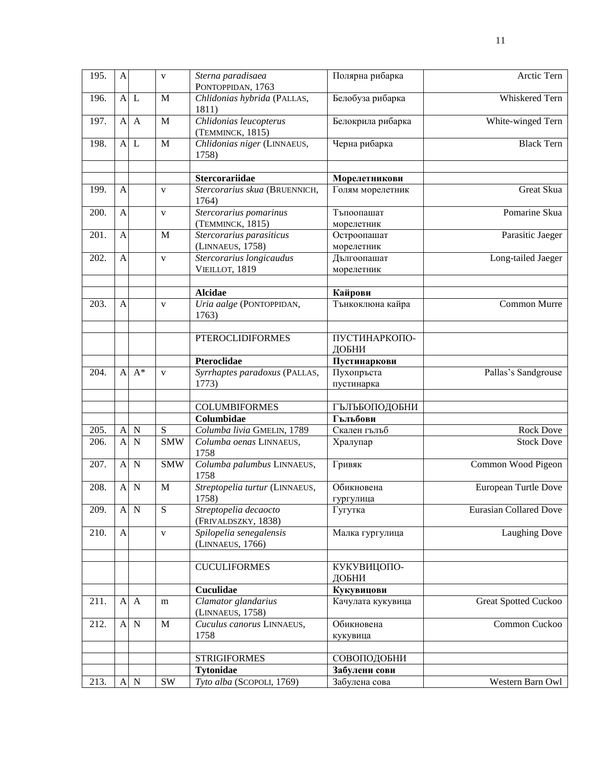| 195. | A              |              | $\mathbf{V}$            | Sterna paradisaea<br>PONTOPPIDAN, 1763       | Полярна рибарка               | Arctic Tern                   |
|------|----------------|--------------|-------------------------|----------------------------------------------|-------------------------------|-------------------------------|
| 196. |                | $A$ $L$      | M                       | Chlidonias hybrida (PALLAS,<br>1811)         | Белобуза рибарка              | Whiskered Tern                |
| 197. | $\mathbf{A}$   | $\mathbf{A}$ | M                       | Chlidonias leucopterus<br>(TEMMINCK, 1815)   | Белокрила рибарка             | White-winged Tern             |
| 198. | A              | $\mathbf{L}$ | M                       | Chlidonias niger (LINNAEUS,<br>1758)         | Черна рибарка                 | <b>Black Tern</b>             |
|      |                |              |                         |                                              |                               |                               |
|      |                |              |                         | <b>Stercorariidae</b>                        | Морелетникови                 |                               |
| 199. | $\overline{A}$ |              | $\mathbf{V}$            | Stercorarius skua (BRUENNICH,<br>1764)       | Голям морелетник              | Great Skua                    |
| 200. | $\overline{A}$ |              | $\mathbf{V}$            | Stercorarius pomarinus<br>(TEMMINCK, 1815)   | Тъпоопашат<br>морелетник      | Pomarine Skua                 |
| 201. | $\mathbf{A}$   |              | M                       | Stercorarius parasiticus                     | Остроопашат                   | Parasitic Jaeger              |
|      |                |              |                         | (LINNAEUS, 1758)                             | морелетник                    |                               |
| 202. | $\overline{A}$ |              | $\overline{\mathbf{V}}$ | Stercorarius longicaudus                     | Дългоопашат                   | Long-tailed Jaeger            |
|      |                |              |                         | VIEILLOT, 1819                               | морелетник                    |                               |
|      |                |              |                         |                                              |                               |                               |
|      |                |              |                         | <b>Alcidae</b>                               | Кайрови                       |                               |
| 203. | $\overline{A}$ |              | $\mathbf{V}$            | Uria aalge (PONTOPPIDAN,<br>1763)            | Тънкоклюна кайра              | Common Murre                  |
|      |                |              |                         |                                              |                               |                               |
|      |                |              |                         | <b>PTEROCLIDIFORMES</b>                      | <b>ПУСТИНАРКОПО-</b><br>ДОБНИ |                               |
|      |                |              |                         | Pteroclidae                                  | Пустинаркови                  |                               |
| 204. | $\mathbf{A}$   | $A^*$        | $\mathbf{V}$            | Syrrhaptes paradoxus (PALLAS,                | Пухопръста                    | Pallas's Sandgrouse           |
|      |                |              |                         | 1773)                                        | пустинарка                    |                               |
|      |                |              |                         | <b>COLUMBIFORMES</b>                         | ГЪЛЪБОПОДОБНИ                 |                               |
|      |                |              |                         | Columbidae                                   | Гълъбови                      |                               |
| 205. | $\mathbf{A}$   | $\mathbf N$  | ${\bf S}$               | Columba livia GMELIN, 1789                   | Скален гълъб                  | <b>Rock Dove</b>              |
| 206. | $\mathbf{A}$   | $\mathbf N$  | <b>SMW</b>              | Columba oenas LINNAEUS,                      | Хралупар                      | <b>Stock Dove</b>             |
|      |                |              |                         | 1758                                         |                               |                               |
| 207. | $\mathbf{A}$   | $\mathbf N$  | $\overline{\text{SMW}}$ | Columba palumbus LINNAEUS,<br>1758           | Гривяк                        | Common Wood Pigeon            |
| 208. | A              | $\mathbf N$  | M                       | Streptopelia turtur (LINNAEUS,               | Обикновена                    | European Turtle Dove          |
|      |                |              |                         | 1758)                                        | гургулица                     |                               |
| 209. | $\mathbf{A}$   | $\mathbf N$  | S                       | Streptopelia decaocto<br>(FRIVALDSZKY, 1838) | Гугутка                       | <b>Eurasian Collared Dove</b> |
| 210. | A              |              | $\mathbf{V}$            | Spilopelia senegalensis<br>(LINNAEUS, 1766)  | Малка гургулица               | Laughing Dove                 |
|      |                |              |                         |                                              |                               |                               |
|      |                |              |                         | <b>CUCULIFORMES</b>                          | КУКУВИЦОПО-<br>ДОБНИ          |                               |
|      |                |              |                         | <b>Cuculidae</b>                             | Кукувицови                    |                               |
| 211. | A              | $\mathbf{A}$ | m                       | Clamator glandarius<br>(LINNAEUS, 1758)      | Качулата кукувица             | <b>Great Spotted Cuckoo</b>   |
| 212. | A              | $\mathbf N$  | M                       | Cuculus canorus LINNAEUS,                    | Обикновена                    | Common Cuckoo                 |
|      |                |              |                         | 1758                                         | кукувица                      |                               |
|      |                |              |                         |                                              |                               |                               |
|      |                |              |                         | <b>STRIGIFORMES</b>                          | СОВОПОДОБНИ                   |                               |
|      |                |              |                         | <b>Tytonidae</b>                             | Забулени сови                 |                               |
| 213. | $\overline{A}$ | $\mathbf N$  | <b>SW</b>               | Tyto alba (SCOPOLI, 1769)                    | Забулена сова                 | Western Barn Owl              |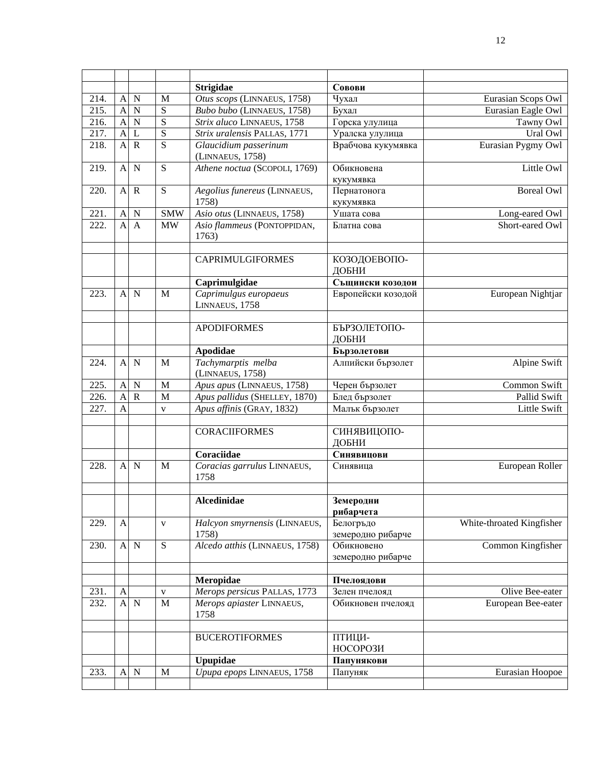|      |                |             |                | <b>Strigidae</b>                          | Совови                          |                           |
|------|----------------|-------------|----------------|-------------------------------------------|---------------------------------|---------------------------|
| 214. | $\mathbf{A}$   | $\mathbf N$ | M              | Otus scops (LINNAEUS, 1758)               | Чухал                           | Eurasian Scops Owl        |
| 215. | $\overline{A}$ | N           | S              | Bubo bubo (LINNAEUS, 1758)                | Бухал                           | Eurasian Eagle Owl        |
| 216. | $\overline{A}$ | N           | $\overline{S}$ | Strix aluco LINNAEUS, 1758                | Горска улулица                  | Tawny Owl                 |
| 217. | $\overline{A}$ | L           | $\overline{S}$ | Strix uralensis PALLAS, 1771              | Уралска улулица                 | Ural Owl                  |
| 218. | $\mathbf{A}$   | $\mathbf R$ | $\overline{S}$ | Glaucidium passerinum<br>(LINNAEUS, 1758) | Врабчова кукумявка              | Eurasian Pygmy Owl        |
| 219. | $\mathbf{A}$   | $\mathbf N$ | S              | Athene noctua (SCOPOLI, 1769)             | Обикновена<br>кукумявка         | Little Owl                |
| 220. | $\mathbf{A}$   | $\mathbf R$ | ${\bf S}$      | Aegolius funereus (LINNAEUS,              | Пернатонога                     | <b>Boreal Owl</b>         |
|      |                |             |                | 1758)                                     | кукумявка                       |                           |
| 221. | $\mathbf{A}$   | N           | <b>SMW</b>     | Asio otus (LINNAEUS, 1758)                | Ушата сова                      | Long-eared Owl            |
| 222. | A              | A           | <b>MW</b>      | Asio flammeus (PONTOPPIDAN,<br>1763)      | Блатна сова                     | Short-eared Owl           |
|      |                |             |                | <b>CAPRIMULGIFORMES</b>                   | КОЗОДОЕВОПО-<br>ДОБНИ           |                           |
|      |                |             |                | Caprimulgidae                             | Същински козодои                |                           |
| 223. | $\mathbf{A}$   | $\mathbf N$ | M              | Caprimulgus europaeus<br>LINNAEUS, 1758   | Европейски козодой              | European Nightjar         |
|      |                |             |                | <b>APODIFORMES</b>                        | БЪРЗОЛЕТОПО-<br>ДОБНИ           |                           |
|      |                |             |                | Apodidae                                  | Бързолетови                     |                           |
| 224. | $\mathbf{A}$   | $\mathbf N$ | M              | Tachymarptis melba<br>(LINNAEUS, 1758)    | Алпийски бързолет               | Alpine Swift              |
| 225. | $\mathbf{A}$   | $\mathbf N$ | M              | Apus apus (LINNAEUS, 1758)                | Черен бързолет                  | Common Swift              |
| 226. | $\overline{A}$ | $\mathbf R$ | $\mathbf{M}$   | Apus pallidus (SHELLEY, 1870)             | Блед бързолет                   | Pallid Swift              |
| 227. | $\overline{A}$ |             | $\mathbf{V}$   | Apus affinis (GRAY, 1832)                 | Малък бързолет                  | Little Swift              |
|      |                |             |                | <b>CORACIIFORMES</b>                      | СИНЯВИЦОПО-<br>ДОБНИ            |                           |
|      |                |             |                | Coraciidae                                | Синявицови                      |                           |
| 228. | A              | $\mathbf N$ | M              | Coracias garrulus LINNAEUS,<br>1758       | Синявица                        | European Roller           |
|      |                |             |                | Alcedinidae                               | Земеродни<br>рибарчета          |                           |
| 229. | A              |             | $\mathbf{V}$   | Halcyon smyrnensis (LINNAEUS,<br>1758)    | Белогръдо<br>земеродно рибарче  | White-throated Kingfisher |
| 230. |                | $A \mid N$  | ${\bf S}$      | Alcedo atthis (LINNAEUS, 1758)            | Обикновено<br>земеродно рибарче | Common Kingfisher         |
|      |                |             |                | Meropidae                                 | Пчелоядови                      |                           |
| 231. | $\mathbf{A}$   |             | $\mathbf V$    | Merops persicus PALLAS, 1773              | Зелен пчелояд                   | Olive Bee-eater           |
| 232. | $\mathbf{A}$   | $\mathbf N$ | $\mathbf M$    | Merops apiaster LINNAEUS,<br>1758         | Обикновен пчелояд               | European Bee-eater        |
|      |                |             |                | <b>BUCEROTIFORMES</b>                     | ПТИЦИ-<br><b>НОСОРОЗИ</b>       |                           |
|      |                |             |                | Upupidae                                  | Папунякови                      |                           |
| 233. | $\mathbf{A}$   | N           | $\mathbf M$    | Upupa epops LINNAEUS, 1758                | Папуняк                         | Eurasian Hoopoe           |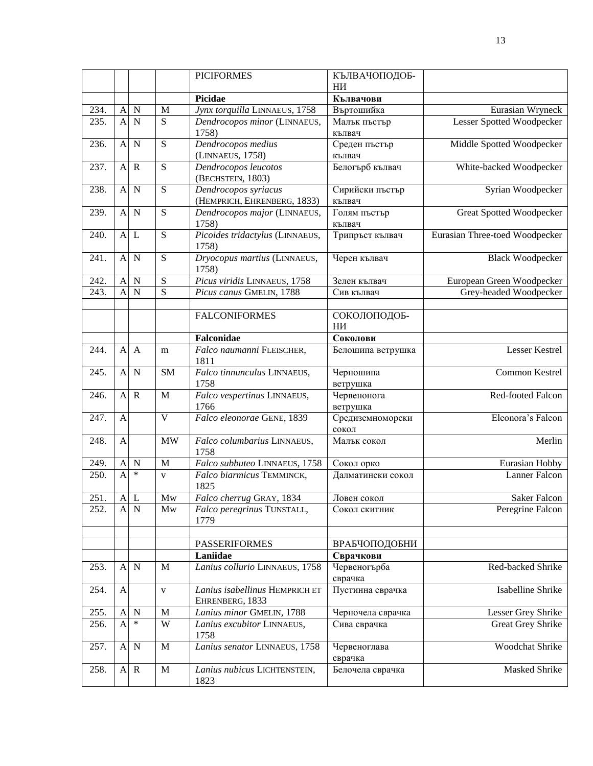|      |                           |              |                | <b>PICIFORMES</b>                                   | КЪЛВАЧОПОДОБ-             |                                 |
|------|---------------------------|--------------|----------------|-----------------------------------------------------|---------------------------|---------------------------------|
|      |                           |              |                |                                                     | HИ                        |                                 |
|      |                           |              |                | Picidae                                             | Кълвачови                 |                                 |
| 234. | $\mathbf{A}$              | $\mathbf N$  | M              | Jynx torquilla LINNAEUS, 1758                       | Въртошийка                | Eurasian Wryneck                |
| 235. | A                         | N            | S              | Dendrocopos minor (LINNAEUS,<br>1758)               | Малък пъстър<br>кълвач    | Lesser Spotted Woodpecker       |
| 236. | $\mathbf{A}$              | $\mathbf N$  | S              | Dendrocopos medius<br>(LINNAEUS, 1758)              | Среден пъстър<br>кълвач   | Middle Spotted Woodpecker       |
| 237. | $\mathbf{A}$              | $\mathbf R$  | $\overline{S}$ | Dendrocopos leucotos<br>(BECHSTEIN, 1803)           | Белогърб кълвач           | White-backed Woodpecker         |
| 238. | $\mathbf{A}$              | $\mathbf N$  | ${\bf S}$      | Dendrocopos syriacus<br>(HEMPRICH, EHRENBERG, 1833) | Сирийски пъстър<br>кълвач | Syrian Woodpecker               |
| 239. | $\mathbf{A}$              | $\mathbf N$  | ${\bf S}$      | Dendrocopos major (LINNAEUS,                        | Голям пъстър              | <b>Great Spotted Woodpecker</b> |
| 240. | $\mathbf{A}$              | L            | $\overline{S}$ | 1758)<br>Picoides tridactylus (LINNAEUS,            | кълвач<br>Трипръст кълвач | Eurasian Three-toed Woodpecker  |
| 241. | $\mathbf{A}$              | $\mathbf N$  | ${\bf S}$      | 1758)<br>Dryocopus martius (LINNAEUS,<br>1758)      | Черен кълвач              | <b>Black Woodpecker</b>         |
| 242. | $\mathbf{A}$              | N            | S              | Picus viridis LINNAEUS, 1758                        | Зелен кълвач              | European Green Woodpecker       |
| 243. | $\overline{A}$            | $\mathbf N$  | $\overline{S}$ | Picus canus GMELIN, 1788                            | Сив кълвач                | Grey-headed Woodpecker          |
|      |                           |              |                |                                                     |                           |                                 |
|      |                           |              |                | <b>FALCONIFORMES</b>                                | СОКОЛОПОДОБ-<br>НИ        |                                 |
|      |                           |              |                | Falconidae                                          | Соколови                  |                                 |
| 244. | $\mathbf{A}$              | $\mathbf{A}$ | m              | Falco naumanni FLEISCHER,<br>1811                   | Белошипа ветрушка         | Lesser Kestrel                  |
| 245. | $\mathbf{A}$              | $\mathbf N$  | <b>SM</b>      | Falco tinnunculus LINNAEUS,<br>1758                 | Черношипа<br>ветрушка     | Common Kestrel                  |
| 246. | $\mathbf{A}$              | $\mathbf R$  | M              | Falco vespertinus LINNAEUS,<br>1766                 | Червенонога<br>ветрушка   | Red-footed Falcon               |
| 247. | A                         |              | $\mathbf V$    | Falco eleonorae GENE, 1839                          | Средиземноморски<br>сокол | Eleonora's Falcon               |
| 248. | A                         |              | <b>MW</b>      | Falco columbarius LINNAEUS,<br>1758                 | Малък сокол               | Merlin                          |
| 249. | A                         | $\mathbf N$  | M              | Falco subbuteo LINNAEUS, 1758                       | Сокол орко                | Eurasian Hobby                  |
| 250. | $\overline{A}$            | $\ast$       | $\mathbf{V}$   | Falco biarmicus TEMMINCK,<br>1825                   | Далматински сокол         | Lanner Falcon                   |
| 251. | $\boldsymbol{\mathsf{A}}$ | L            | Mw             | Falco cherrug GRAY, 1834                            | Ловен сокол               | Saker Falcon                    |
| 252. | A                         | $\mathbf N$  | Mw             | Falco peregrinus TUNSTALL,<br>1779                  | Сокол скитник             | Peregrine Falcon                |
|      |                           |              |                | <b>PASSERIFORMES</b>                                | ВРАБЧОПОДОБНИ             |                                 |
|      |                           |              |                | Laniidae                                            | Сврачкови                 |                                 |
| 253. | A                         | $\mathbf N$  | $\mathbf M$    | Lanius collurio LINNAEUS, 1758                      | Червеногърба<br>сврачка   | Red-backed Shrike               |
| 254. | $\mathbf{A}$              |              | $\mathbf{V}$   | Lanius isabellinus HEMPRICH ET<br>EHRENBERG, 1833   | Пустинна сврачка          | Isabelline Shrike               |
| 255. | $\mathbf{A}$              | $\mathbf N$  | $\mathbf M$    | Lanius minor GMELIN, 1788                           | Черночела сврачка         | Lesser Grey Shrike              |
| 256. | $\mathbf{A}$              | $\ast$       | W              | Lanius excubitor LINNAEUS,<br>1758                  | Сива сврачка              | Great Grey Shrike               |
| 257. | $\boldsymbol{\mathsf{A}}$ | $\mathbf N$  | $\mathbf M$    | Lanius senator LINNAEUS, 1758                       | Червеноглава<br>сврачка   | Woodchat Shrike                 |
| 258. |                           | $A \ R$      | $\mathbf M$    | Lanius nubicus LICHTENSTEIN,<br>1823                | Белочела сврачка          | Masked Shrike                   |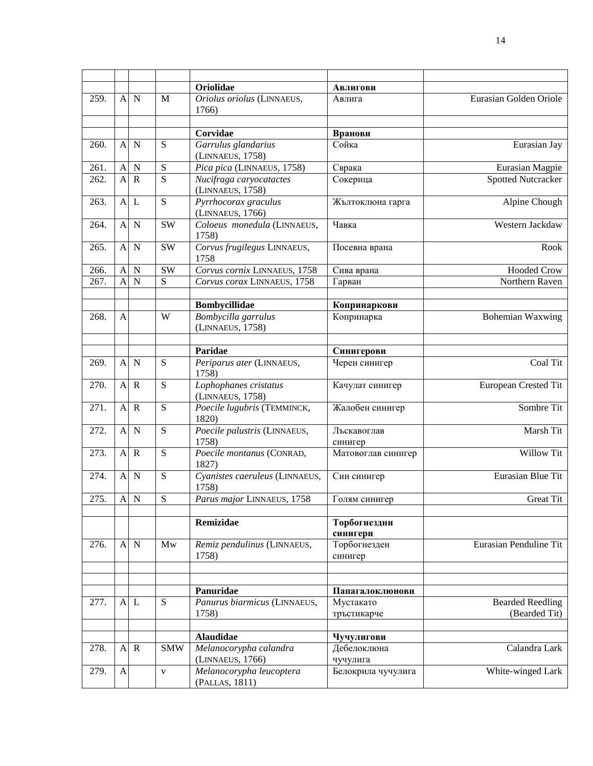|      |                |                |                        | Oriolidae                                   | Авлигови                       |                           |
|------|----------------|----------------|------------------------|---------------------------------------------|--------------------------------|---------------------------|
| 259. | $\mathbf{A}$   | $\mathbf N$    | M                      | Oriolus oriolus (LINNAEUS,<br>1766)         | Авлига                         | Eurasian Golden Oriole    |
|      |                |                |                        |                                             |                                |                           |
|      |                |                |                        | Corvidae                                    | Вранови<br>Сойка               |                           |
| 260. | A              | $\mathbf N$    | S                      | Garrulus glandarius<br>(LINNAEUS, 1758)     |                                | Eurasian Jay              |
| 261. | $\mathbf{A}$   | $\mathbf N$    | S                      | Pica pica (LINNAEUS, 1758)                  | Сврака                         | Eurasian Magpie           |
| 262. | $\overline{A}$ | $\mathbb{R}$   | $\overline{S}$         | Nucifraga caryocatactes<br>(LINNAEUS, 1758) | Сокерица                       | <b>Spotted Nutcracker</b> |
| 263. | $\mathbf{A}$   | L              | S                      | Pyrrhocorax graculus<br>(LINNAEUS, 1766)    | Жълтоклюна гарга               | Alpine Chough             |
| 264. | $\mathbf{A}$   | $\mathbf N$    | <b>SW</b>              | Coloeus monedula (LINNAEUS,<br>1758)        | Чавка                          | Western Jackdaw           |
| 265. | A              | $\mathbf N$    | SW                     | Corvus frugilegus LINNAEUS,<br>1758         | Посевна врана                  | Rook                      |
| 266. | $\mathsf{A}$   | $\mathbf N$    | $\overline{\text{SW}}$ | Corvus cornix LINNAEUS, 1758                | Сива врана                     | <b>Hooded Crow</b>        |
| 267. | $\overline{A}$ | $\overline{N}$ | $\overline{S}$         | Corvus corax LINNAEUS, 1758                 | Гарван                         | Northern Raven            |
|      |                |                |                        | <b>Bombycillidae</b>                        | Копринаркови                   |                           |
| 268. | $\mathbf{A}$   |                | W                      | Bombycilla garrulus                         | Копринарка                     | <b>Bohemian Waxwing</b>   |
|      |                |                |                        | (LINNAEUS, 1758)                            |                                |                           |
|      |                |                |                        | Paridae                                     | Синигерови                     |                           |
| 269. | $\mathbf{A}$   | $\mathbf N$    | S                      | Periparus ater (LINNAEUS,                   | Черен синигер                  | Coal Tit                  |
|      |                |                |                        | 1758)                                       |                                |                           |
| 270. | $\mathbf{A}$   | $\mathbf R$    | S                      | Lophophanes cristatus<br>(LINNAEUS, 1758)   | Качулат синигер                | European Crested Tit      |
| 271. | $\mathbf{A}$   | $\mathbf R$    | $\overline{S}$         | Poecile lugubris (TEMMINCK,<br>1820)        | Жалобен синигер                | Sombre Tit                |
| 272. |                | A N            | S                      | Poecile palustris (LINNAEUS,<br>1758)       | Лъскавоглав<br>синигер         | Marsh Tit                 |
| 273. |                | $A \ R$        | S                      | Poecile montanus (CONRAD,<br>1827)          | Матовоглав синигер             | Willow Tit                |
| 274. |                | A N            | S                      | Cyanistes caeruleus (LINNAEUS,<br>1758)     | Син синигер                    | Eurasian Blue Tit         |
| 275. |                | A N            | S                      | Parus major LINNAEUS, 1758                  | Голям синигер                  | Great Tit                 |
|      |                |                |                        | Remizidae                                   | Торбогнездни<br>синигери       |                           |
| 276. | $\mathbf{A}$   | $\mathbf N$    | Mw                     | Remiz pendulinus (LINNAEUS,<br>1758)        | Торбогнезден<br>синигер        | Eurasian Penduline Tit    |
|      |                |                |                        |                                             |                                |                           |
|      |                |                |                        | Panuridae                                   | Папагалоклюнови                |                           |
| 277. | A              | L              | S                      | Panurus biarmicus (LINNAEUS,                | Мустакато                      | <b>Bearded Reedling</b>   |
|      |                |                |                        | 1758)                                       | тръстикарче                    | (Bearded Tit)             |
|      |                |                |                        |                                             |                                |                           |
|      |                |                |                        | <b>Alaudidae</b>                            | Чучулигови                     |                           |
| 278. | A              | $\mathbf R$    | <b>SMW</b>             | Melanocorypha calandra<br>(LINNAEUS, 1766)  | Дебелоклюна                    | Calandra Lark             |
| 279. | $\mathbf{A}$   |                | $\mathbf{V}$           | Melanocorypha leucoptera                    | чучулига<br>Белокрила чучулига | White-winged Lark         |
|      |                |                |                        | (PALLAS, 1811)                              |                                |                           |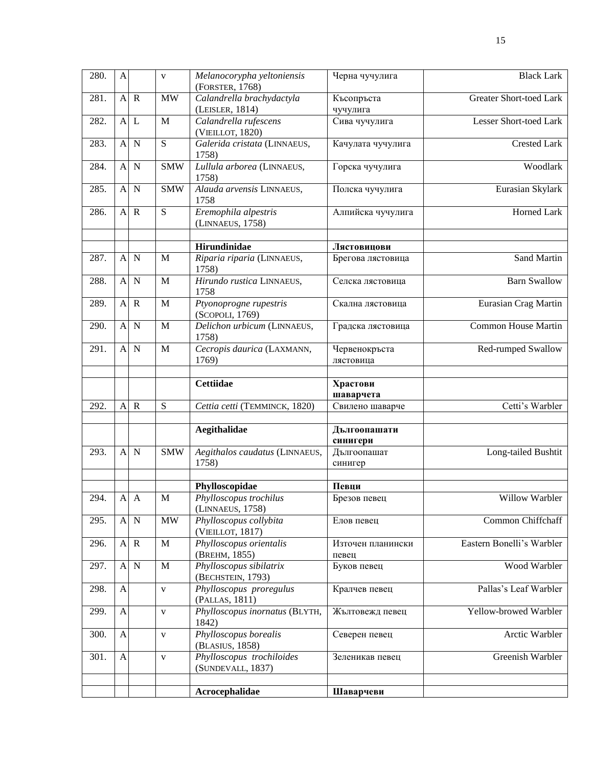| 280. | $\mathbf{A}$     |                | $\mathbf{V}$   | Melanocorypha yeltoniensis<br>(FORSTER, 1768)  | Черна чучулига             | <b>Black Lark</b>         |
|------|------------------|----------------|----------------|------------------------------------------------|----------------------------|---------------------------|
| 281. | $\mathbf{A}$     | $\mathbf R$    | $\text{MW}{}$  | Calandrella brachydactyla<br>(LEISLER, 1814)   | Късопръста<br>чучулига     | Greater Short-toed Lark   |
| 282. | $\mathbf{A}$     | L              | $\mathbf{M}$   | Calandrella rufescens<br>(VIEILLOT, 1820)      | Сива чучулига              | Lesser Short-toed Lark    |
| 283. | $\mathbf{A}$     | $\mathbf N$    | $\overline{S}$ | Galerida cristata (LINNAEUS,<br>1758)          | Качулата чучулига          | <b>Crested Lark</b>       |
| 284. | $\mathbf{A}$     | $\mathbf N$    | <b>SMW</b>     | Lullula arborea (LINNAEUS,<br>1758)            | Горска чучулига            | Woodlark                  |
| 285. | $\mathbf{A}$     | $\mathbf N$    | <b>SMW</b>     | Alauda arvensis LINNAEUS,<br>1758              | Полска чучулига            | Eurasian Skylark          |
| 286. | $\mathbf{A}$     | $\overline{R}$ | $\overline{S}$ | Eremophila alpestris<br>(LINNAEUS, 1758)       | Алпийска чучулига          | Horned Lark               |
|      |                  |                |                | Hirundinidae                                   | Лястовицови                |                           |
| 287. | $\mathbf{A}$     | $\mathbf N$    | M              | Riparia riparia (LINNAEUS,<br>1758)            | Брегова лястовица          | Sand Martin               |
| 288. |                  | A N            | $\mathbf M$    | Hirundo rustica LINNAEUS,<br>1758              | Селска лястовица           | <b>Barn Swallow</b>       |
| 289. |                  | $A \ R$        | $\mathbf{M}$   | Ptyonoprogne rupestris<br>(SCOPOLI, 1769)      | Скална лястовица           | Eurasian Crag Martin      |
| 290. |                  | A N            | $\mathbf M$    | Delichon urbicum (LINNAEUS,<br>1758)           | Градска лястовица          | Common House Martin       |
| 291. |                  | A N            | $\mathbf M$    | Cecropis daurica (LAXMANN,<br>1769)            | Червенокръста<br>лястовица | Red-rumped Swallow        |
|      |                  |                |                | <b>Cettiidae</b>                               | Храстови<br>шаварчета      |                           |
| 292. | $\mathbf{A}$     | $\mathbf R$    | S              | Cettia cetti (TEMMINCK, 1820)                  | Свилено шаварче            | Cetti's Warbler           |
|      |                  |                |                | Aegithalidae                                   | Дългоопашати               |                           |
|      |                  |                |                |                                                | синигери                   |                           |
| 293. | $\mathbf{A}$     | $\mathbf N$    | <b>SMW</b>     | Aegithalos caudatus (LINNAEUS,<br>1758)        | Дългоопашат<br>синигер     | Long-tailed Bushtit       |
|      |                  |                |                | Phylloscopidae                                 | Певци                      |                           |
| 294. | $\mathbf{A}$     | $\mathbf{A}$   | M              | Phylloscopus trochilus<br>(LINNAEUS, 1758)     | Брезов певец               | Willow Warbler            |
| 295. | $\mathbf{A}$     | $\mathbf N$    | <b>MW</b>      | Phylloscopus collybita<br>(VIEILLOT, 1817)     | Елов певец                 | Common Chiffchaff         |
| 296. | $\mathbf{A}$     | $\overline{R}$ | $\mathbf M$    | Phylloscopus orientalis<br>(BREHM, 1855)       | Източен планински<br>певец | Eastern Bonelli's Warbler |
| 297. | $\mathbf{A}$     | N              | M              | Phylloscopus sibilatrix<br>(BECHSTEIN, 1793)   | Буков певец                | Wood Warbler              |
| 298. | A                |                | $\mathbf{V}$   | Phylloscopus proregulus<br>(PALLAS, 1811)      | Кралчев певец              | Pallas's Leaf Warbler     |
| 299. | $\boldsymbol{A}$ |                | $\mathbf{V}$   | Phylloscopus inornatus (BLYTH,<br>1842)        | Жълтовежд певец            | Yellow-browed Warbler     |
| 300. | A                |                | $\mathbf{V}$   | Phylloscopus borealis<br>(BLASIUS, 1858)       | Северен певец              | Arctic Warbler            |
| 301. | A                |                | $\mathbf{V}$   | Phylloscopus trochiloides<br>(SUNDEVALL, 1837) | Зеленикав певец            | Greenish Warbler          |
|      |                  |                |                |                                                |                            |                           |
|      |                  |                |                | Acrocephalidae                                 | Шаварчеви                  |                           |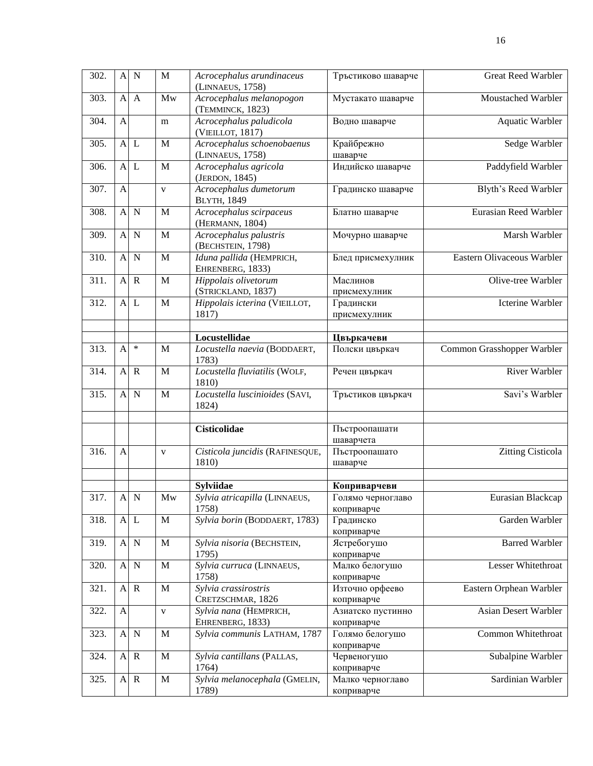| 302. | $\mathbf{A}$   | $\overline{\mathbf{N}}$ | $\mathbf M$  | Acrocephalus arundinaceus<br>(LINNAEUS, 1758)     | Тръстиково шаварче                | Great Reed Warbler          |
|------|----------------|-------------------------|--------------|---------------------------------------------------|-----------------------------------|-----------------------------|
| 303. | A              | $\mathbf{A}$            | Mw           | Acrocephalus melanopogon<br>(TEMMINCK, 1823)      | Мустакато шаварче                 | Moustached Warbler          |
| 304. | $\overline{A}$ |                         | m            | Acrocephalus paludicola<br>(VIEILLOT, 1817)       | Водно шаварче                     | Aquatic Warbler             |
| 305. | $\mathbf{A}$   | $\mathbf{L}$            | M            | Acrocephalus schoenobaenus<br>(LINNAEUS, 1758)    | Крайбрежно<br>шаварче             | Sedge Warbler               |
| 306. | $\mathbf{A}$   | L                       | M            | Acrocephalus agricola<br>(JERDON, 1845)           | Индийско шаварче                  | Paddyfield Warbler          |
| 307. | $\overline{A}$ |                         | $\mathbf{V}$ | Acrocephalus dumetorum<br><b>BLYTH, 1849</b>      | Градинско шаварче                 | Blyth's Reed Warbler        |
| 308. | $\mathbf{A}$   | N                       | M            | Acrocephalus scirpaceus<br>(HERMANN, 1804)        | Блатно шаварче                    | Eurasian Reed Warbler       |
| 309. | $\mathbf{A}$   | $\mathbf N$             | M            | Acrocephalus palustris<br>(BECHSTEIN, 1798)       | Мочурно шаварче                   | Marsh Warbler               |
| 310. | $\mathbf{A}$   | $\mathbf N$             | M            | Iduna pallida (HEMPRICH,<br>EHRENBERG, 1833)      | Блед присмехулник                 | Eastern Olivaceous Warbler  |
| 311. | $\mathbf{A}$   | R                       | M            | Hippolais olivetorum<br>(STRICKLAND, 1837)        | Маслинов<br>присмехулник          | Olive-tree Warbler          |
| 312. |                | $A$ $L$                 | $\mathbf M$  | Hippolais icterina (VIEILLOT,<br>1817)            | Градински<br>присмехулник         | Icterine Warbler            |
|      |                |                         |              | Locustellidae                                     | Цвъркачеви                        |                             |
| 313. | $\mathbf{A}$   | $\ast$                  | M            | Locustella naevia (BODDAERT,<br>1783)             | Полски цвъркач                    | Common Grasshopper Warbler  |
| 314. |                | $A \ R$                 | $\mathbf M$  | Locustella fluviatilis (WOLF,<br>1810)            | Речен цвъркач                     | <b>River Warbler</b>        |
| 315. | A              | $\overline{\mathbf{N}}$ | M            | Locustella luscinioides (SAVI,<br>1824)           | Тръстиков цвъркач                 | Savi's Warbler              |
|      |                |                         |              | <b>Cisticolidae</b>                               | Пъстроопашати<br>шаварчета        |                             |
| 316. | $\overline{A}$ |                         | $\mathbf{V}$ | Cisticola juncidis (RAFINESQUE,<br>1810)          | Пъстроопашато<br>шаварче          | Zitting Cisticola           |
|      |                |                         |              |                                                   |                                   |                             |
| 317. |                | A N                     | Mw           | <b>Sylviidae</b><br>Sylvia atricapilla (LINNAEUS, | Коприварчеви<br>Голямо черноглаво | Eurasian Blackcap           |
|      |                |                         |              | 1758)                                             | коприварче                        |                             |
| 318. | $\mathbf{A}$   | $\mathbf{L}$            | M            | Sylvia borin (BODDAERT, 1783)                     | Градинско<br>коприварче           | Garden Warbler              |
| 319. | $\mathbf{A}$   | $\mathbf N$             | $\mathbf M$  | Sylvia nisoria (BECHSTEIN,<br>1795)               | Ястребогушо<br>коприварче         | <b>Barred Warbler</b>       |
| 320. | $\mathbf{A}$   | $\mathbf N$             | $\mathbf M$  | Sylvia curruca (LINNAEUS,<br>1758)                | Малко белогушо<br>коприварче      | Lesser Whitethroat          |
| 321. | $\mathbf{A}$   | $\mathbf R$             | M            | Sylvia crassirostris<br>CRETZSCHMAR, 1826         | Източно орфеево<br>коприварче     | Eastern Orphean Warbler     |
| 322. | A              |                         | $\mathbf{V}$ | Sylvia nana (HEMPRICH,<br>EHRENBERG, 1833)        | Азиатско пустинно<br>коприварче   | <b>Asian Desert Warbler</b> |
| 323. | $\mathbf{A}$   | $\mathbf N$             | M            | Sylvia communis LATHAM, 1787                      | Голямо белогушо<br>коприварче     | Common Whitethroat          |
| 324. |                | $A \, R$                | $\mathbf M$  | Sylvia cantillans (PALLAS,<br>1764)               | Червеногушо<br>коприварче         | Subalpine Warbler           |
| 325. |                | $A \ R$                 | $\mathbf M$  | Sylvia melanocephala (GMELIN,<br>1789)            | Малко черноглаво<br>коприварче    | Sardinian Warbler           |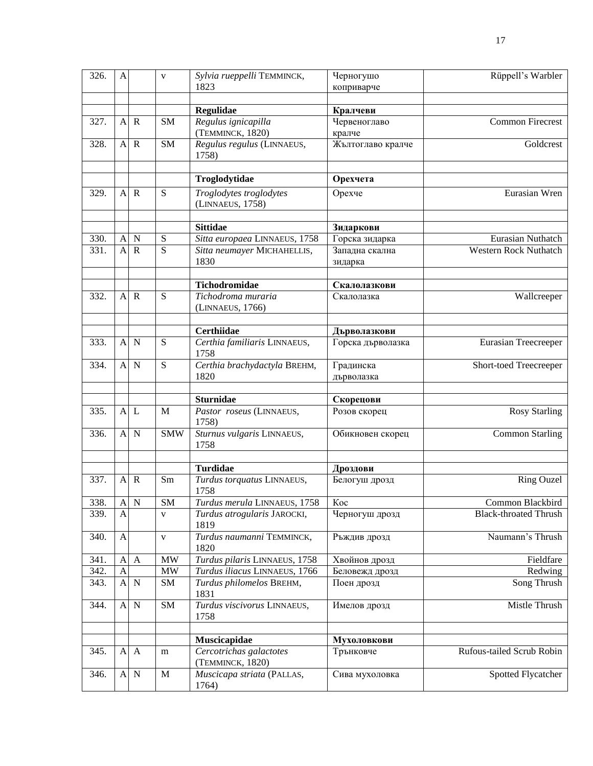| 326. | A              |              | $\mathbf{V}$   | Sylvia rueppelli TEMMINCK,                    | Черногушо                 | Rüppell's Warbler            |
|------|----------------|--------------|----------------|-----------------------------------------------|---------------------------|------------------------------|
|      |                |              |                | 1823                                          | коприварче                |                              |
|      |                |              |                |                                               |                           |                              |
|      |                |              |                | Regulidae                                     | Кралчеви                  |                              |
| 327. | $\mathbf{A}$   | $\mathbf R$  | <b>SM</b>      | Regulus ignicapilla                           | Червеноглаво              | Common Firecrest             |
|      |                |              |                | (TEMMINCK, 1820)                              | кралче                    |                              |
| 328. | A              | $\mathbf R$  | <b>SM</b>      | Regulus regulus (LINNAEUS,<br>1758)           | Жълтоглаво кралче         | Goldcrest                    |
|      |                |              |                | Troglodytidae                                 | Орехчета                  |                              |
| 329. | A              | $\mathbf R$  | S              | Troglodytes troglodytes<br>(LINNAEUS, 1758)   | Орехче                    | Eurasian Wren                |
|      |                |              |                | <b>Sittidae</b>                               | Зидаркови                 |                              |
| 330. | $\mathbf{A}$   | $\mathbf N$  | ${\bf S}$      | Sitta europaea LINNAEUS, 1758                 | Горска зидарка            | Eurasian Nuthatch            |
| 331. | $\mathbf{A}$   | $\mathbf R$  | $\overline{S}$ | Sitta neumayer MICHAHELLIS,                   | Западна скална            | <b>Western Rock Nuthatch</b> |
|      |                |              |                | 1830                                          | зидарка                   |                              |
|      |                |              |                |                                               |                           |                              |
|      |                |              |                | Tichodromidae                                 | Скалолазкови              |                              |
| 332. | A              | $\mathbf R$  | ${\bf S}$      | Tichodroma muraria<br>(LINNAEUS, 1766)        | Скалолазка                | Wallcreeper                  |
|      |                |              |                | <b>Certhiidae</b>                             | Дърволазкови              |                              |
| 333. | A              | $\mathbf N$  | ${\bf S}$      | Certhia familiaris LINNAEUS,                  | Горска дърволазка         | Eurasian Treecreeper         |
|      |                |              |                | 1758                                          |                           |                              |
| 334. | A              | $\mathbf N$  | $\mathbf S$    | Certhia brachydactyla BREHM,<br>1820          | Градинска<br>дърволазка   | Short-toed Treecreeper       |
|      |                |              |                |                                               |                           |                              |
|      |                |              |                | <b>Sturnidae</b>                              | Скорецови                 |                              |
| 335. | A              | L            | M              | Pastor roseus (LINNAEUS,<br>1758)             | Розов скорец              | <b>Rosy Starling</b>         |
| 336. | A              | $\mathbf N$  | <b>SMW</b>     | Sturnus vulgaris LINNAEUS,<br>1758            | Обикновен скорец          | <b>Common Starling</b>       |
|      |                |              |                |                                               |                           |                              |
| 337. | A              | $\mathbf R$  | Sm             | <b>Turdidae</b><br>Turdus torquatus LINNAEUS, | Дроздови<br>Белогуш дрозд | <b>Ring Ouzel</b>            |
|      |                |              |                | 1758                                          |                           |                              |
| 338. | $\mathbf{A}$   | ${\bf N}$    | SM             | Turdus merula LINNAEUS, 1758 Koc              |                           | Common Blackbird             |
| 339. | A              |              | V              | Turdus atrogularis JAROCKI,                   | Черногуш дрозд            | <b>Black-throated Thrush</b> |
|      |                |              |                | 1819                                          |                           |                              |
| 340. | $\mathbf{A}$   |              | $\mathbf V$    | Turdus naumanni TEMMINCK,<br>1820             | Ръждив дрозд              | Naumann's Thrush             |
| 341. | A              | A            | <b>MW</b>      | Turdus pilaris LINNAEUS, 1758                 | Хвойнов дрозд             | Fieldfare                    |
| 342. | $\overline{A}$ |              | <b>MW</b>      | Turdus iliacus LINNAEUS, 1766                 | Беловежд дрозд            | Redwing                      |
| 343. | $\overline{A}$ | $\mathbf N$  | SM             | Turdus philomelos BREHM,<br>1831              | Поен дрозд                | Song Thrush                  |
| 344. | A              | $\mathbf N$  | SM             | Turdus viscivorus LINNAEUS,<br>1758           | Имелов дрозд              | Mistle Thrush                |
|      |                |              |                |                                               |                           |                              |
|      |                |              |                | Muscicapidae                                  | Мухоловкови               |                              |
| 345. | $\mathbf{A}$   | $\mathbf{A}$ | m              | Cercotrichas galactotes<br>(TEMMINCK, 1820)   | Трънковче                 | Rufous-tailed Scrub Robin    |
| 346. | A              | $\mathbf N$  | M              | Muscicapa striata (PALLAS,<br>1764)           | Сива мухоловка            | Spotted Flycatcher           |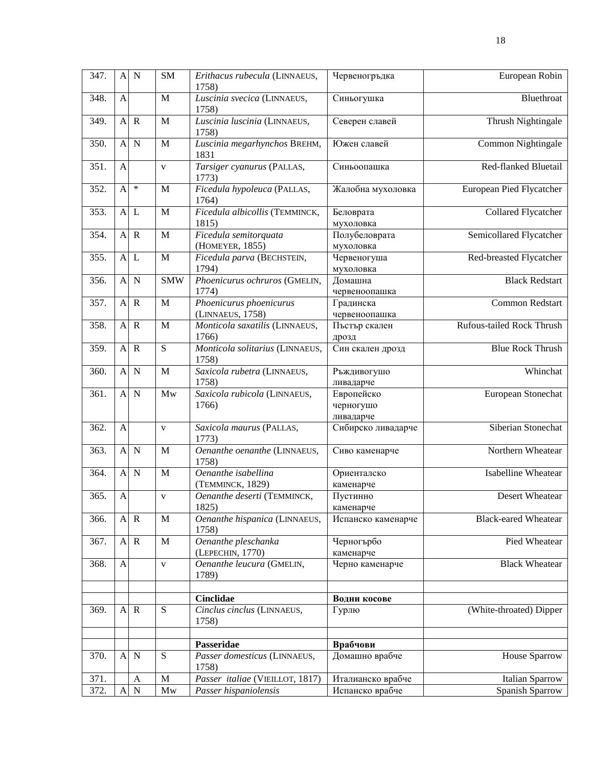| 347. | A              | $\mathbf N$    | SM           | Erithacus rubecula (LINNAEUS,               | Червеногръдка                        | European Robin              |
|------|----------------|----------------|--------------|---------------------------------------------|--------------------------------------|-----------------------------|
|      |                |                |              | 1758)                                       |                                      |                             |
| 348. | A              |                | M            | Luscinia svecica (LINNAEUS,<br>1758)        | Синьогушка                           | Bluethroat                  |
| 349. | $\mathbf{A}$   | $\mathbf R$    | M            | Luscinia luscinia (LINNAEUS,<br>1758)       | Северен славей                       | Thrush Nightingale          |
| 350. | $\mathbf{A}$   | $\mathbf N$    | $\mathbf M$  | Luscinia megarhynchos BREHM,<br>1831        | Южен славей                          | <b>Common Nightingale</b>   |
| 351. | $\overline{A}$ |                | $\mathbf{V}$ | Tarsiger cyanurus (PALLAS,<br>1773)         | Синьоопашка                          | Red-flanked Bluetail        |
| 352. | $\mathbf{A}$   | $\ast$         | M            | Ficedula hypoleuca (PALLAS,<br>1764)        | Жалобна мухоловка                    | European Pied Flycatcher    |
| 353. | $\mathbf{A}$   | $\mathbf{L}$   | M            | Ficedula albicollis (TEMMINCK,<br>1815)     | Беловрата<br>мухоловка               | Collared Flycatcher         |
| 354. | $\mathbf{A}$   | $\mathbf R$    | M            | Ficedula semitorquata<br>(HOMEYER, 1855)    | Полубеловрата<br>мухоловка           | Semicollared Flycatcher     |
| 355. |                | $A$ $L$        | $\mathbf M$  | Ficedula parva (BECHSTEIN,<br>1794)         | Червеногуша<br>мухоловка             | Red-breasted Flycatcher     |
| 356. | $\mathbf{A}$   | $\mathbf N$    | <b>SMW</b>   | Phoenicurus ochruros (GMELIN,<br>1774)      | Домашна<br>червеноопашка             | <b>Black Redstart</b>       |
| 357. | $\mathbf{A}$   | $\overline{R}$ | M            | Phoenicurus phoenicurus<br>(LINNAEUS, 1758) | Градинска<br>червеноопашка           | Common Redstart             |
| 358. |                | $A \ R$        | $\mathbf M$  | Monticola saxatilis (LINNAEUS,<br>1766)     | Пъстър скален<br>дрозд               | Rufous-tailed Rock Thrush   |
| 359. | A              | $\overline{R}$ | ${\bf S}$    | Monticola solitarius (LINNAEUS,<br>1758)    | Син скален дрозд                     | <b>Blue Rock Thrush</b>     |
| 360. | A              | $\mathbf N$    | M            | Saxicola rubetra (LINNAEUS,<br>1758)        | Ръждивогушо<br>ливадарче             | Whinchat                    |
| 361. | $\mathbf{A}$   | $\mathbf N$    | Mw           | Saxicola rubicola (LINNAEUS,<br>1766)       | Европейско<br>черногушо<br>ливадарче | European Stonechat          |
| 362. | $\mathbf{A}$   |                | $\mathbf{V}$ | Saxicola maurus (PALLAS,<br>1773)           | Сибирско ливадарче                   | Siberian Stonechat          |
| 363. | $\mathbf{A}$   | $\mathbf N$    | M            | Oenanthe oenanthe (LINNAEUS,<br>1758)       | Сиво каменарче                       | Northern Wheatear           |
| 364. | $\mathbf{A}$   | $\mathbf N$    | M            | Oenanthe isabellina<br>(TEMMINCK, 1829)     | Ориенталско<br>каменарче             | <b>Isabelline Wheatear</b>  |
| 365. | $\mathbf{A}$   |                | $\mathbf{V}$ | Oenanthe deserti (TEMMINCK,<br>1825)        | Пустинно<br>каменарче                | Desert Wheatear             |
| 366. |                | $A \, R$       | $\mathbf M$  | Oenanthe hispanica (LINNAEUS,<br>1758)      | Испанско каменарче                   | <b>Black-eared Wheatear</b> |
| 367. | $\mathbf{A}$   | $\mathbf R$    | $\mathbf M$  | Oenanthe pleschanka<br>(LEPECHIN, 1770)     | Черногърбо<br>каменарче              | Pied Wheatear               |
| 368. | $\mathbf{A}$   |                | $\mathbf{V}$ | Oenanthe leucura (GMELIN,<br>1789)          | Черно каменарче                      | <b>Black Wheatear</b>       |
|      |                |                |              | <b>Cinclidae</b>                            | Водни косове                         |                             |
| 369. | $\mathbf{A}$   | $\overline{R}$ | ${\bf S}$    | Cinclus cinclus (LINNAEUS,<br>1758)         | Гурлю                                | (White-throated) Dipper     |
|      |                |                |              | Passeridae                                  | Врабчови                             |                             |
| 370. | A              | $\mathbf N$    | ${\bf S}$    | Passer domesticus (LINNAEUS,<br>1758)       | Домашно врабче                       | House Sparrow               |
| 371. |                | A              | $\mathbf M$  | Passer italiae (VIEILLOT, 1817)             | Италианско врабче                    | Italian Sparrow             |
| 372. | $\mathbf{A}$   | $\mathbf N$    | Mw           | Passer hispaniolensis                       | Испанско врабче                      | Spanish Sparrow             |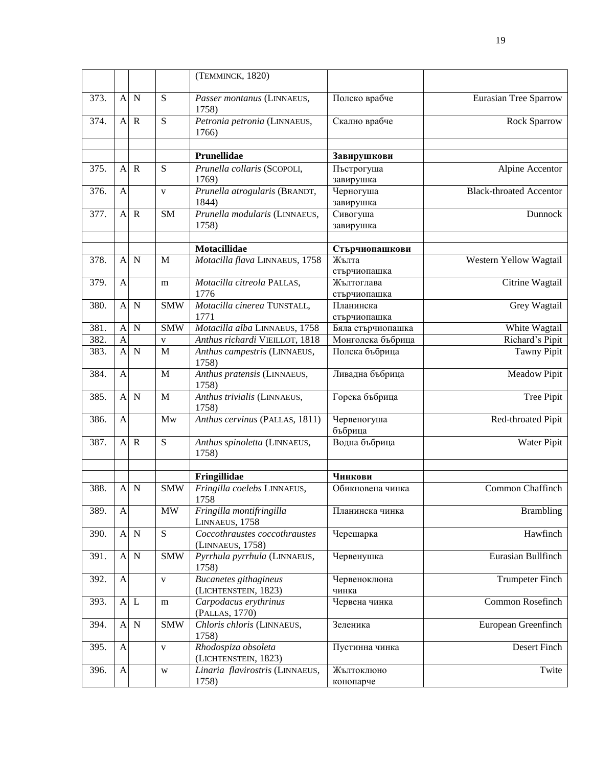|      |                           |              |              | (TEMMINCK, 1820)                                     |                            |                                |
|------|---------------------------|--------------|--------------|------------------------------------------------------|----------------------------|--------------------------------|
| 373. |                           | A N          | ${\bf S}$    | Passer montanus (LINNAEUS,<br>1758)                  | Полско врабче              | <b>Eurasian Tree Sparrow</b>   |
| 374. | A                         | $\mathbf R$  | S            | Petronia petronia (LINNAEUS,<br>1766)                | Скално врабче              | Rock Sparrow                   |
|      |                           |              |              | Prunellidae                                          |                            |                                |
| 375. |                           | $A \ R$      | ${\bf S}$    | Prunella collaris (SCOPOLI,                          | Завирушкови<br>Пъстрогуша  | Alpine Accentor                |
|      |                           |              |              | 1769)                                                | завирушка                  |                                |
| 376. | A                         |              | $\mathbf{V}$ | Prunella atrogularis (BRANDT,                        | Черногуша                  | <b>Black-throated Accentor</b> |
|      |                           |              |              | 1844)                                                | завирушка                  |                                |
| 377. | $\mathbf{A}$              | $\mathbf R$  | SM           | Prunella modularis (LINNAEUS,                        | Сивогуша                   | Dunnock                        |
|      |                           |              |              | 1758)                                                | завирушка                  |                                |
|      |                           |              |              |                                                      |                            |                                |
|      |                           |              |              | Motacillidae                                         | Стърчиопашкови             |                                |
| 378. | A                         | N            | M            | Motacilla flava LINNAEUS, 1758                       | Жълта                      | Western Yellow Wagtail         |
| 379. |                           |              |              |                                                      | стърчиопашка               | Citrine Wagtail                |
|      | A                         |              | m            | Motacilla citreola PALLAS,<br>1776                   | Жълтоглава<br>стърчиопашка |                                |
| 380. | $\mathbf{A}$              | $\mathbf N$  | <b>SMW</b>   | Motacilla cinerea TUNSTALL,                          | Планинска                  | Grey Wagtail                   |
|      |                           |              |              | 1771                                                 | стърчиопашка               |                                |
| 381. | $\mathbf{A}$              | N            | <b>SMW</b>   | Motacilla alba LINNAEUS, 1758                        | Бяла стърчиопашка          | White Wagtail                  |
| 382. | $\overline{A}$            |              | V            | Anthus richardi VIEILLOT, 1818                       | Монголска бъбрица          | Richard's Pipit                |
| 383. | A                         | $\mathbf N$  | M            | Anthus campestris (LINNAEUS,<br>1758)                | Полска бъбрица             | Tawny Pipit                    |
| 384. | $\mathbf{A}$              |              | M            | Anthus pratensis (LINNAEUS,<br>1758)                 | Ливадна бъбрица            | Meadow Pipit                   |
| 385. | $\mathbf{A}$              | $\mathbf N$  | M            | Anthus trivialis (LINNAEUS,<br>1758)                 | Горска бъбрица             | Tree Pipit                     |
| 386. | $\mathbf{A}$              |              | Mw           | Anthus cervinus (PALLAS, 1811)                       | Червеногуша<br>бъбрица     | Red-throated Pipit             |
| 387. | A                         | $\mathbb{R}$ | S            | Anthus spinoletta (LINNAEUS,<br>1758)                | Водна бъбрица              | Water Pipit                    |
|      |                           |              |              | Fringillidae                                         | Чинкови                    |                                |
| 388. | A                         | $\mathbf N$  | <b>SMW</b>   | Fringilla coelebs LINNAEUS,<br>1758                  | Обикновена чинка           | Common Chaffinch               |
| 389. | $\mathbf{A}$              |              | <b>MW</b>    | Fringilla montifringilla<br>LINNAEUS, 1758           | Планинска чинка            | <b>Brambling</b>               |
| 390. |                           | A N          | ${\bf S}$    | Coccothraustes coccothraustes<br>(LINNAEUS, 1758)    | Черешарка                  | Hawfinch                       |
| 391. | $\mathbf{A}$              | $\mathbf N$  | <b>SMW</b>   | Pyrrhula pyrrhula (LINNAEUS,<br>1758)                | Червенушка                 | Eurasian Bullfinch             |
| 392. | $\mathbf{A}$              |              | $\mathbf{V}$ | <b>Bucanetes</b> githagineus<br>(LICHTENSTEIN, 1823) | Червеноклюна<br>чинка      | <b>Trumpeter Finch</b>         |
| 393. | $\boldsymbol{\mathsf{A}}$ | $\mathbf{L}$ | m            | Carpodacus erythrinus<br>(PALLAS, 1770)              | Червена чинка              | Common Rosefinch               |
| 394. | $\boldsymbol{\mathsf{A}}$ | $\mathbf N$  | <b>SMW</b>   | Chloris chloris (LINNAEUS,<br>1758)                  | Зеленика                   | European Greenfinch            |
| 395. | $\mathbf{A}$              |              | $\mathbf V$  | Rhodospiza obsoleta<br>(LICHTENSTEIN, 1823)          | Пустинна чинка             | Desert Finch                   |
| 396. | $\mathbf{A}$              |              | W            | Linaria flavirostris (LINNAEUS,<br>1758)             | Жълтоклюно<br>конопарче    | Twite                          |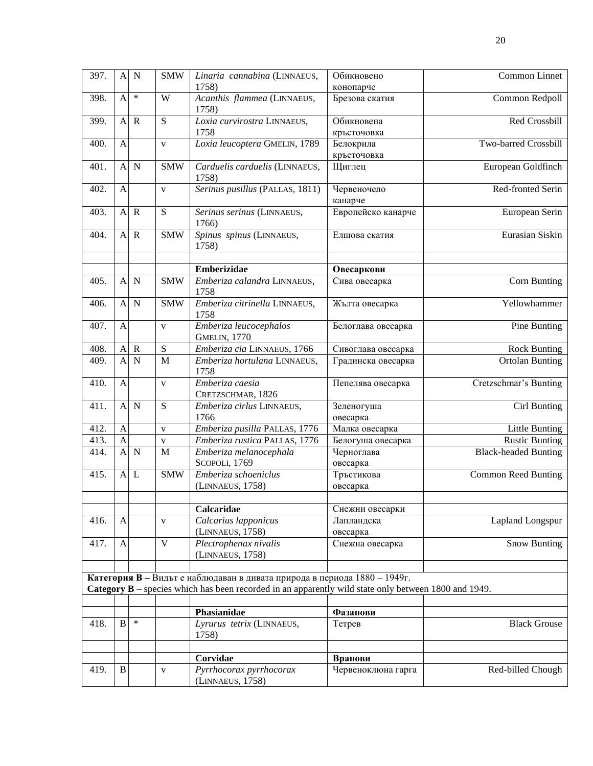| 397. | $\mathbf{A}$   | N           | $\overline{\text{SMW}}$ | Linaria cannabina (LINNAEUS,                                                                         | Обикновено                | Common Linnet               |
|------|----------------|-------------|-------------------------|------------------------------------------------------------------------------------------------------|---------------------------|-----------------------------|
|      |                |             |                         | 1758)                                                                                                | конопарче                 |                             |
| 398. | $\mathbf{A}$   | $\ast$      | W                       | Acanthis flammea (LINNAEUS,<br>1758)                                                                 | Брезова скатия            | Common Redpoll              |
| 399. | A              | $\mathbf R$ | ${\bf S}$               | Loxia curvirostra LINNAEUS,<br>1758                                                                  | Обикновена<br>кръсточовка | Red Crossbill               |
| 400. | A              |             | V                       | Loxia leucoptera GMELIN, 1789                                                                        | Белокрила                 | Two-barred Crossbill        |
|      |                |             |                         |                                                                                                      | кръсточовка               |                             |
| 401. | $\overline{A}$ | $\mathbf N$ | <b>SMW</b>              | Carduelis carduelis (LINNAEUS,<br>1758)                                                              | Щиглец                    | European Goldfinch          |
| 402. | $\mathbf{A}$   |             | V                       | Serinus pusillus (PALLAS, 1811)                                                                      | Червеночело<br>канарче    | Red-fronted Serin           |
| 403. | $\mathbf{A}$   | $\mathbf R$ | $\overline{S}$          | Serinus serinus (LINNAEUS,<br>1766)                                                                  | Европейско канарче        | European Serin              |
| 404. | $\mathbf{A}$   | $\mathbf R$ | <b>SMW</b>              | Spinus spinus (LINNAEUS,<br>1758)                                                                    | Елшова скатия             | Eurasian Siskin             |
|      |                |             |                         | <b>Emberizidae</b>                                                                                   | Овесаркови                |                             |
| 405. | $\mathbf{A}$   | $\mathbf N$ | <b>SMW</b>              | Emberiza calandra LINNAEUS,<br>1758                                                                  | Сива овесарка             | Corn Bunting                |
| 406. | $\mathbf{A}$   | $\mathbf N$ | <b>SMW</b>              | Emberiza citrinella LINNAEUS,<br>1758                                                                | Жълта овесарка            | Yellowhammer                |
| 407. | $\mathbf{A}$   |             | V                       | Emberiza leucocephalos<br><b>GMELIN, 1770</b>                                                        | Белоглава овесарка        | Pine Bunting                |
| 408. | A              | $\mathbf R$ | ${\bf S}$               | Emberiza cia LINNAEUS, 1766                                                                          | Сивоглава овесарка        | <b>Rock Bunting</b>         |
| 409. | $\overline{A}$ | $\mathbf N$ | M                       | Emberiza hortulana LINNAEUS,<br>1758                                                                 | Градинска овесарка        | <b>Ortolan Bunting</b>      |
| 410. | A              |             | V                       | Emberiza caesia<br>CRETZSCHMAR, 1826                                                                 | Пепелява овесарка         | Cretzschmar's Bunting       |
| 411. | $\mathbf{A}$   | $\mathbf N$ | S                       | Emberiza cirlus LINNAEUS,<br>1766                                                                    | Зеленогуша<br>овесарка    | Cirl Bunting                |
| 412. | $\mathbf{A}$   |             | $\mathbf{V}$            | Emberiza pusilla PALLAS, 1776                                                                        | Малка овесарка            | Little Bunting              |
| 413. | $\mathbf{A}$   |             | $\mathbf V$             | Emberiza rustica PALLAS, 1776                                                                        | Белогуша овесарка         | <b>Rustic Bunting</b>       |
| 414. | $\overline{A}$ | $\mathbf N$ | M                       | Emberiza melanocephala<br>SCOPOLI, 1769                                                              | Черноглава<br>овесарка    | <b>Black-headed Bunting</b> |
| 415. | $\mathbf{A}$   | L           | <b>SMW</b>              | Emberiza schoeniclus                                                                                 | Тръстикова                | <b>Common Reed Bunting</b>  |
|      |                |             |                         | (LINNAEUS, 1758)                                                                                     | овесарка                  |                             |
|      |                |             |                         | Calcaridae                                                                                           | Снежни овесарки           |                             |
| 416. | A              |             | V                       | Calcarius lapponicus<br>(LINNAEUS, 1758)                                                             | Лапландска<br>овесарка    | Lapland Longspur            |
| 417. | A              |             | $\mathbf{V}$            | Plectrophenax nivalis<br>(LINNAEUS, 1758)                                                            | Снежна овесарка           | <b>Snow Bunting</b>         |
|      |                |             |                         | Категория В - Видът е наблюдаван в дивата природа в периода 1880 - 1949г.                            |                           |                             |
|      |                |             |                         | Category B – species which has been recorded in an apparently wild state only between 1800 and 1949. |                           |                             |
|      |                |             |                         | Phasianidae                                                                                          | Фазанови                  |                             |
| 418. | $\, {\bf B}$   | $\ast$      |                         | Lyrurus tetrix (LINNAEUS,<br>1758)                                                                   | Тетрев                    | <b>Black Grouse</b>         |
|      |                |             |                         |                                                                                                      |                           |                             |
|      |                |             |                         | Corvidae                                                                                             | Вранови                   |                             |
| 419. | $\, {\bf B}$   |             | V                       | Pyrrhocorax pyrrhocorax<br>(LINNAEUS, 1758)                                                          | Червеноклюна гарга        | Red-billed Chough           |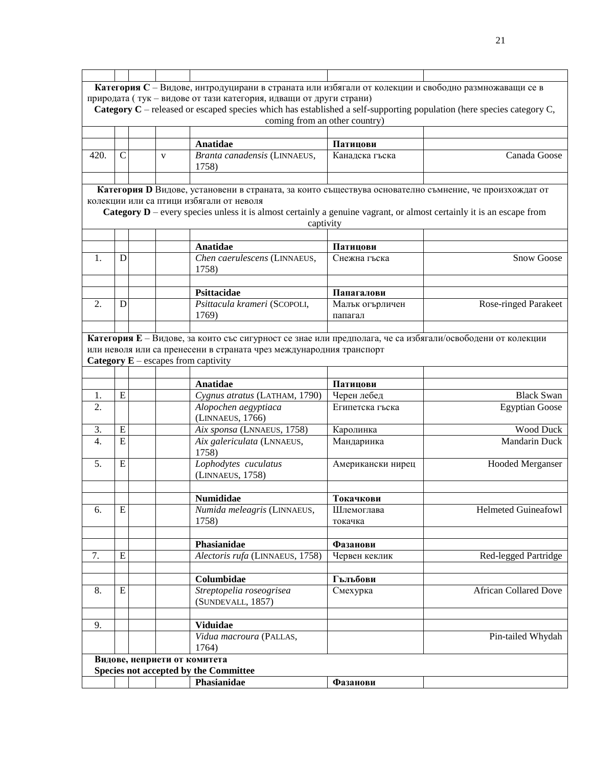|                  |                |                                       | Категория С - Видове, интродуцирани в страната или избягали от колекции и свободно размножаващи се в                                                             |                               |                              |
|------------------|----------------|---------------------------------------|------------------------------------------------------------------------------------------------------------------------------------------------------------------|-------------------------------|------------------------------|
|                  |                |                                       | природата (тук - видове от тази категория, идващи от други страни)                                                                                               |                               |                              |
|                  |                |                                       | Category $C$ – released or escaped species which has established a self-supporting population (here species category $C$ ,                                       |                               |                              |
|                  |                |                                       |                                                                                                                                                                  | coming from an other country) |                              |
|                  |                |                                       |                                                                                                                                                                  |                               |                              |
|                  |                |                                       | <b>Anatidae</b>                                                                                                                                                  | Патицови                      |                              |
| 420.             | $\mathsf{C}$   | V                                     | Branta canadensis (LINNAEUS,                                                                                                                                     | Канадска гъска                | Canada Goose                 |
|                  |                |                                       | 1758)                                                                                                                                                            |                               |                              |
|                  |                |                                       |                                                                                                                                                                  |                               |                              |
|                  |                |                                       |                                                                                                                                                                  |                               |                              |
|                  |                |                                       | Категория D Видове, установени в страната, за които съществува основателно съмнение, че произхождат от                                                           |                               |                              |
|                  |                |                                       | колекции или са птици избягали от неволя<br>Category D - every species unless it is almost certainly a genuine vagrant, or almost certainly it is an escape from |                               |                              |
|                  |                |                                       |                                                                                                                                                                  |                               |                              |
|                  |                |                                       | captivity                                                                                                                                                        |                               |                              |
|                  |                |                                       |                                                                                                                                                                  |                               |                              |
|                  |                |                                       | Anatidae                                                                                                                                                         | Патицови                      |                              |
| 1.               | D              |                                       | Chen caerulescens (LINNAEUS,                                                                                                                                     | Снежна гъска                  | Snow Goose                   |
|                  |                |                                       | 1758)                                                                                                                                                            |                               |                              |
|                  |                |                                       |                                                                                                                                                                  |                               |                              |
|                  |                |                                       | <b>Psittacidae</b>                                                                                                                                               | Папагалови                    |                              |
| 2.               | D              |                                       | Psittacula krameri (SCOPOLI,                                                                                                                                     | Малък огърличен               | <b>Rose-ringed Parakeet</b>  |
|                  |                |                                       | 1769)                                                                                                                                                            | папагал                       |                              |
|                  |                |                                       |                                                                                                                                                                  |                               |                              |
|                  |                |                                       | Категория Е - Видове, за които със сигурност се знае или предполага, че са избягали/освободени от колекции                                                       |                               |                              |
|                  |                |                                       | или неволя или са пренесени в страната чрез международния транспорт                                                                                              |                               |                              |
|                  |                | Category $E$ – escapes from captivity |                                                                                                                                                                  |                               |                              |
|                  |                |                                       |                                                                                                                                                                  |                               |                              |
|                  |                |                                       | <b>Anatidae</b>                                                                                                                                                  | Патицови                      |                              |
| 1.               | ${\bf E}$      |                                       | Cygnus atratus (LATHAM, 1790)                                                                                                                                    | Черен лебед                   | <b>Black Swan</b>            |
| 2.               |                |                                       | Alopochen aegyptiaca                                                                                                                                             | Египетска гъска               | <b>Egyptian Goose</b>        |
|                  |                |                                       | (LINNAEUS, 1766)                                                                                                                                                 |                               |                              |
| 3.               | ${\bf E}$      |                                       | Aix sponsa (LNNAEUS, 1758)                                                                                                                                       | Каролинка                     | <b>Wood Duck</b>             |
| $\overline{4}$ . | $\overline{E}$ |                                       | Aix galericulata (LNNAEUS,                                                                                                                                       | Мандаринка                    | Mandarin Duck                |
|                  |                |                                       | 1758)                                                                                                                                                            |                               |                              |
| 5.               | E              |                                       | Lophodytes cuculatus                                                                                                                                             | Американски нирец             | <b>Hooded Merganser</b>      |
|                  |                |                                       | (LINNAEUS, 1758)                                                                                                                                                 |                               |                              |
|                  |                |                                       |                                                                                                                                                                  |                               |                              |
|                  |                |                                       | <b>Numididae</b>                                                                                                                                                 | Токачкови                     |                              |
| 6.               | ${\bf E}$      |                                       | Numida meleagris (LINNAEUS,                                                                                                                                      | Шлемоглава                    | <b>Helmeted Guineafowl</b>   |
|                  |                |                                       | 1758)                                                                                                                                                            | токачка                       |                              |
|                  |                |                                       |                                                                                                                                                                  |                               |                              |
|                  |                |                                       | Phasianidae                                                                                                                                                      | Фазанови                      |                              |
| 7.               | ${\bf E}$      |                                       | Alectoris rufa (LINNAEUS, 1758)                                                                                                                                  | Червен кеклик                 | Red-legged Partridge         |
|                  |                |                                       |                                                                                                                                                                  |                               |                              |
|                  |                |                                       | Columbidae                                                                                                                                                       | Гълъбови                      |                              |
| 8.               | ${\bf E}$      |                                       | Streptopelia roseogrisea                                                                                                                                         | Смехурка                      | <b>African Collared Dove</b> |
|                  |                |                                       | (SUNDEVALL, 1857)                                                                                                                                                |                               |                              |
|                  |                |                                       |                                                                                                                                                                  |                               |                              |
|                  |                |                                       |                                                                                                                                                                  |                               |                              |
| 9.               |                |                                       | Viduidae                                                                                                                                                         |                               |                              |
|                  |                |                                       | Vidua macroura (PALLAS,                                                                                                                                          |                               | Pin-tailed Whydah            |
|                  |                |                                       | 1764)                                                                                                                                                            |                               |                              |
|                  |                | Видове, неприети от комитета          |                                                                                                                                                                  |                               |                              |
|                  |                |                                       | Species not accepted by the Committee                                                                                                                            |                               |                              |
|                  |                |                                       | Phasianidae                                                                                                                                                      | Фазанови                      |                              |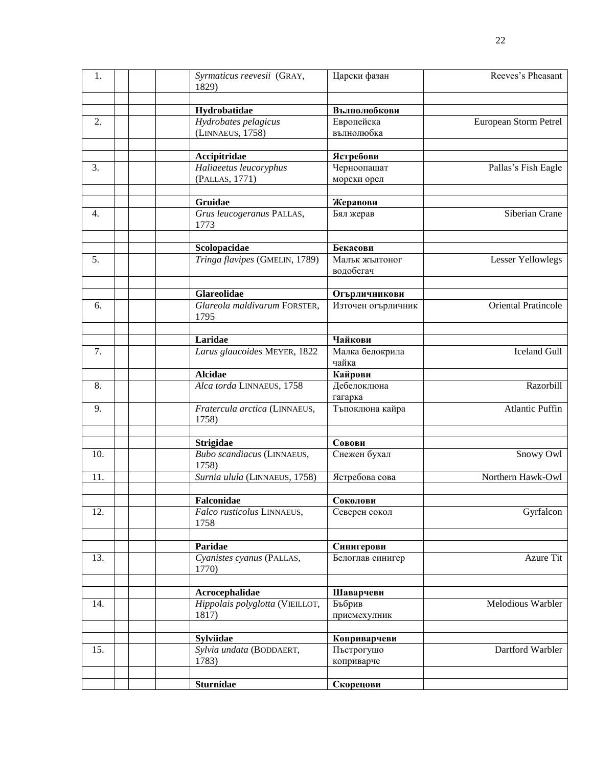| 1.               | Syrmaticus reevesii (GRAY,<br>1829)                        | Царски фазан                             | Reeves's Pheasant      |
|------------------|------------------------------------------------------------|------------------------------------------|------------------------|
|                  | Hydrobatidae                                               | Вълнолюбкови                             |                        |
| 2.               | Hydrobates pelagicus<br>(LINNAEUS, 1758)                   | Европейска<br>вълнолюбка                 | European Storm Petrel  |
|                  | Accipitridae                                               | Ястребови                                |                        |
| 3.               | Haliaeetus leucoryphus<br>(PALLAS, 1771)                   | Черноопашат<br>морски орел               | Pallas's Fish Eagle    |
|                  |                                                            |                                          |                        |
| 4.               | Gruidae<br>Grus leucogeranus PALLAS,<br>1773               | Жеравови<br>Бял жерав                    | Siberian Crane         |
|                  |                                                            |                                          |                        |
| 5.               | Scolopacidae<br>Tringa flavipes (GMELIN, 1789)             | Бекасови<br>Малък жълтоног<br>водобегач  | Lesser Yellowlegs      |
|                  | <b>Glareolidae</b>                                         | Огърличникови                            |                        |
| 6.               | Glareola maldivarum FORSTER,<br>1795                       | Източен огърличник                       | Oriental Pratincole    |
|                  | Laridae                                                    | Чайкови                                  |                        |
| 7.               | Larus glaucoides MEYER, 1822                               | Малка белокрила<br>чайка                 | <b>Iceland Gull</b>    |
|                  | <b>Alcidae</b>                                             | Кайрови                                  |                        |
| $\overline{8}$ . | Alca torda LINNAEUS, 1758                                  | Дебелоклюна<br>гагарка                   | Razorbill              |
| 9.               | Fratercula arctica (LINNAEUS,<br>1758)                     | Тъпоклюна кайра                          | <b>Atlantic Puffin</b> |
|                  |                                                            | Совови                                   |                        |
| 10.              | <b>Strigidae</b><br>Bubo scandiacus (LINNAEUS,<br>1758)    | Снежен бухал                             | Snowy Owl              |
| 11.              | Surnia ulula (LINNAEUS, 1758)                              | Ястребова сова                           | Northern Hawk-Owl      |
|                  |                                                            |                                          |                        |
| 12.              | Falconidae<br>Falco rusticolus LINNAEUS,<br>1758           | Соколови<br>Северен сокол                | Gyrfalcon              |
|                  | Paridae                                                    | Синигерови                               |                        |
| 13.              | Cyanistes cyanus (PALLAS,<br>1770)                         | Белоглав синигер                         | Azure Tit              |
|                  |                                                            |                                          |                        |
| 14.              | Acrocephalidae<br>Hippolais polyglotta (VIEILLOT,<br>1817) | Шаварчеви<br>Бъбрив<br>присмехулник      | Melodious Warbler      |
|                  |                                                            |                                          |                        |
| 15.              | <b>Sylviidae</b><br>Sylvia undata (BODDAERT,<br>1783)      | Коприварчеви<br>Пъстрогушо<br>коприварче | Dartford Warbler       |
|                  | <b>Sturnidae</b>                                           | Скорецови                                |                        |